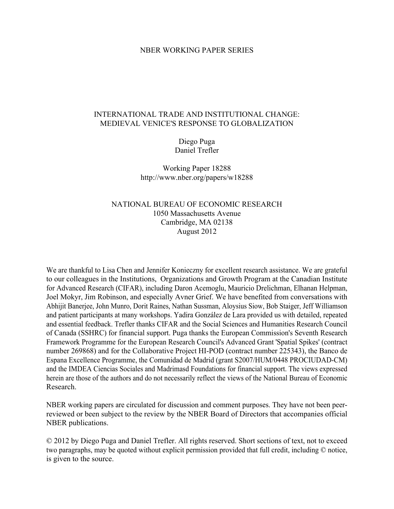# NBER WORKING PAPER SERIES

# INTERNATIONAL TRADE AND INSTITUTIONAL CHANGE: MEDIEVAL VENICE'S RESPONSE TO GLOBALIZATION

# Diego Puga Daniel Trefler

Working Paper 18288 http://www.nber.org/papers/w18288

# NATIONAL BUREAU OF ECONOMIC RESEARCH 1050 Massachusetts Avenue Cambridge, MA 02138 August 2012

We are thankful to Lisa Chen and Jennifer Konieczny for excellent research assistance. We are grateful to our colleagues in the Institutions, Organizations and Growth Program at the Canadian Institute for Advanced Research (CIFAR), including Daron Acemoglu, Mauricio Drelichman, Elhanan Helpman, Joel Mokyr, Jim Robinson, and especially Avner Grief. We have benefited from conversations with Abhijit Banerjee, John Munro, Dorit Raines, Nathan Sussman, Aloysius Siow, Bob Staiger, Jeff Williamson and patient participants at many workshops. Yadira González de Lara provided us with detailed, repeated and essential feedback. Trefler thanks CIFAR and the Social Sciences and Humanities Research Council of Canada (SSHRC) for financial support. Puga thanks the European Commission's Seventh Research Framework Programme for the European Research Council's Advanced Grant 'Spatial Spikes' (contract number 269868) and for the Collaborative Project HI-POD (contract number 225343), the Banco de Espana Excellence Programme, the Comunidad de Madrid (grant S2007/HUM/0448 PROCIUDAD-CM) and the IMDEA Ciencias Sociales and Madrimasd Foundations for financial support. The views expressed herein are those of the authors and do not necessarily reflect the views of the National Bureau of Economic Research.

NBER working papers are circulated for discussion and comment purposes. They have not been peerreviewed or been subject to the review by the NBER Board of Directors that accompanies official NBER publications.

© 2012 by Diego Puga and Daniel Trefler. All rights reserved. Short sections of text, not to exceed two paragraphs, may be quoted without explicit permission provided that full credit, including © notice, is given to the source.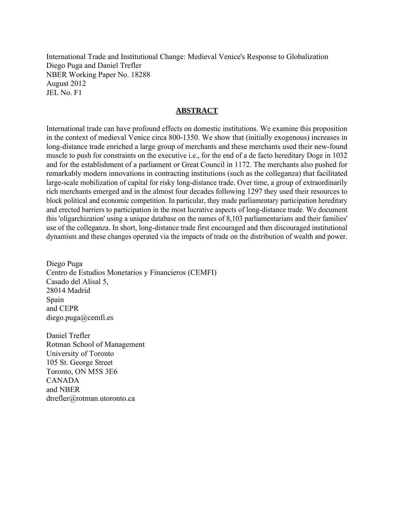International Trade and Institutional Change: Medieval Venice's Response to Globalization Diego Puga and Daniel Trefler NBER Working Paper No. 18288 August 2012 JEL No. F1

# **ABSTRACT**

International trade can have profound effects on domestic institutions. We examine this proposition in the context of medieval Venice circa 800-1350. We show that (initially exogenous) increases in long-distance trade enriched a large group of merchants and these merchants used their new-found muscle to push for constraints on the executive i.e., for the end of a de facto hereditary Doge in 1032 and for the establishment of a parliament or Great Council in 1172. The merchants also pushed for remarkably modern innovations in contracting institutions (such as the colleganza) that facilitated large-scale mobilization of capital for risky long-distance trade. Over time, a group of extraordinarily rich merchants emerged and in the almost four decades following 1297 they used their resources to block political and economic competition. In particular, they made parliamentary participation hereditary and erected barriers to participation in the most lucrative aspects of long-distance trade. We document this 'oligarchization' using a unique database on the names of 8,103 parliamentarians and their families' use of the colleganza. In short, long-distance trade first encouraged and then discouraged institutional dynamism and these changes operated via the impacts of trade on the distribution of wealth and power.

Diego Puga Centro de Estudios Monetarios y Financieros (CEMFI) Casado del Alisal 5, 28014 Madrid Spain and CEPR diego.puga@cemfi.es

Daniel Trefler Rotman School of Management University of Toronto 105 St. George Street Toronto, ON M5S 3E6 CANADA and NBER dtrefler@rotman.utoronto.ca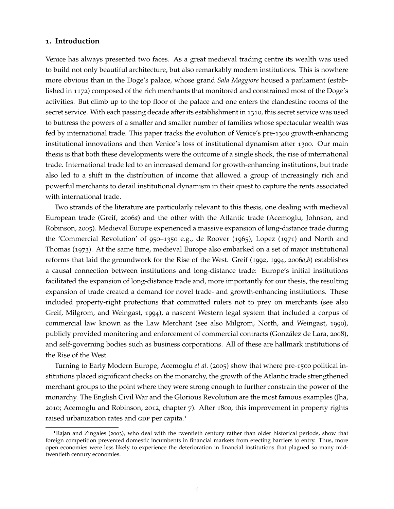### **1. Introduction**

Venice has always presented two faces. As a great medieval trading centre its wealth was used to build not only beautiful architecture, but also remarkably modern institutions. This is nowhere more obvious than in the Doge's palace, whose grand *Sala Maggiore* housed a parliament (established in 1172) composed of the rich merchants that monitored and constrained most of the Doge's activities. But climb up to the top floor of the palace and one enters the clandestine rooms of the secret service. With each passing decade after its establishment in 1310, this secret service was used to buttress the powers of a smaller and smaller number of families whose spectacular wealth was fed by international trade. This paper tracks the evolution of Venice's pre-1300 growth-enhancing institutional innovations and then Venice's loss of institutional dynamism after 1300. Our main thesis is that both these developments were the outcome of a single shock, the rise of international trade. International trade led to an increased demand for growth-enhancing institutions, but trade also led to a shift in the distribution of income that allowed a group of increasingly rich and powerful merchants to derail institutional dynamism in their quest to capture the rents associated with international trade.

Two strands of the literature are particularly relevant to this thesis, one dealing with medieval European trade [\(Greif,](#page-38-0) [2006](#page-38-0)*a*) and the other with the Atlantic trade [\(Acemoglu, Johnson, and](#page-36-0) [Robinson,](#page-36-0) [2005](#page-36-0)). Medieval Europe experienced a massive expansion of long-distance trade during the 'Commercial Revolution' of 950–1350 e.g., [de Roover](#page-37-0) ([1965](#page-37-0)), [Lopez](#page-39-0) ([1971](#page-39-0)) and [North and](#page-39-1) [Thomas](#page-39-1) ([1973](#page-39-1)). At the same time, medieval Europe also embarked on a set of major institutional reforms that laid the groundwork for the Rise of the West. [Greif](#page-38-1) ([1992](#page-38-1), [1994](#page-38-2), [2006](#page-38-0)*a*,*[b](#page-38-3)*) establishes a causal connection between institutions and long-distance trade: Europe's initial institutions facilitated the expansion of long-distance trade and, more importantly for our thesis, the resulting expansion of trade created a demand for novel trade- and growth-enhancing institutions. These included property-right protections that committed rulers not to prey on merchants (see also [Greif, Milgrom, and Weingast,](#page-38-4) [1994](#page-38-4)), a nascent Western legal system that included a corpus of commercial law known as the Law Merchant (see also [Milgrom, North, and Weingast,](#page-39-2) [1990](#page-39-2)), publicly provided monitoring and enforcement of commercial contracts [\(González de Lara,](#page-38-5) [2008](#page-38-5)), and self-governing bodies such as business corporations. All of these are hallmark institutions of the Rise of the West.

Turning to Early Modern Europe, [Acemoglu](#page-36-0) *et al.* ([2005](#page-36-0)) show that where pre-1500 political institutions placed significant checks on the monarchy, the growth of the Atlantic trade strengthened merchant groups to the point where they were strong enough to further constrain the power of the monarchy. The English Civil War and the Glorious Revolution are the most famous examples [\(Jha,](#page-38-6) [2010](#page-38-6); [Acemoglu and Robinson,](#page-36-1) [2012](#page-36-1), chapter 7). After 1800, this improvement in property rights raised urbanization rates and GDP per capita.<sup>[1](#page-2-0)</sup>

<span id="page-2-0"></span><sup>1</sup>[Rajan and Zingales](#page-40-0) ([2003](#page-40-0)), who deal with the twentieth century rather than older historical periods, show that foreign competition prevented domestic incumbents in financial markets from erecting barriers to entry. Thus, more open economies were less likely to experience the deterioration in financial institutions that plagued so many midtwentieth century economies.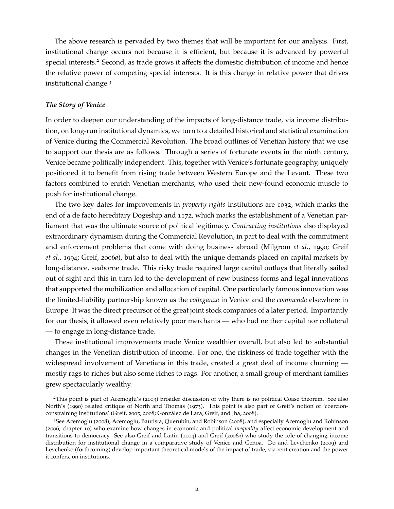The above research is pervaded by two themes that will be important for our analysis. First, institutional change occurs not because it is efficient, but because it is advanced by powerful special interests.<sup>[2](#page-3-0)</sup> Second, as trade grows it affects the domestic distribution of income and hence the relative power of competing special interests. It is this change in relative power that drives institutional change.[3](#page-3-1)

#### *The Story of Venice*

In order to deepen our understanding of the impacts of long-distance trade, via income distribution, on long-run institutional dynamics, we turn to a detailed historical and statistical examination of Venice during the Commercial Revolution. The broad outlines of Venetian history that we use to support our thesis are as follows. Through a series of fortunate events in the ninth century, Venice became politically independent. This, together with Venice's fortunate geography, uniquely positioned it to benefit from rising trade between Western Europe and the Levant. These two factors combined to enrich Venetian merchants, who used their new-found economic muscle to push for institutional change.

The two key dates for improvements in *property rights* institutions are 1032, which marks the end of a de facto hereditary Dogeship and 1172, which marks the establishment of a Venetian parliament that was the ultimate source of political legitimacy. *Contracting institutions* also displayed extraordinary dynamism during the Commercial Revolution, in part to deal with the commitment and enforcement problems that come with doing business abroad [\(Milgrom](#page-39-2) *et al.*, [1990](#page-39-2); [Greif](#page-38-4) *[et al.](#page-38-4)*, [1994](#page-38-4); [Greif,](#page-38-0) [2006](#page-38-0)*a*), but also to deal with the unique demands placed on capital markets by long-distance, seaborne trade. This risky trade required large capital outlays that literally sailed out of sight and this in turn led to the development of new business forms and legal innovations that supported the mobilization and allocation of capital. One particularly famous innovation was the limited-liability partnership known as the *colleganza* in Venice and the *commenda* elsewhere in Europe. It was the direct precursor of the great joint stock companies of a later period. Importantly for our thesis, it allowed even relatively poor merchants — who had neither capital nor collateral — to engage in long-distance trade.

These institutional improvements made Venice wealthier overall, but also led to substantial changes in the Venetian distribution of income. For one, the riskiness of trade together with the widespread involvement of Venetians in this trade, created a great deal of income churning mostly rags to riches but also some riches to rags. For another, a small group of merchant families grew spectacularly wealthy.

<span id="page-3-0"></span><sup>&</sup>lt;sup>2</sup>This point is part of [Acemoglu'](#page-36-2)s ([2003](#page-36-2)) broader discussion of why there is no political Coase theorem. See also North's ([1990](#page-39-3)) related critique of [North and Thomas](#page-39-1) ([1973](#page-39-1)). This point is also part of Greif's notion of 'coercionconstraining institutions' [\(Greif,](#page-38-7) [2005](#page-38-7), [2008](#page-38-8); [González de Lara, Greif, and Jha,](#page-38-9) [2008](#page-38-9)).

<span id="page-3-1"></span><sup>3</sup>See [Acemoglu](#page-36-3) ([2008](#page-36-3)), [Acemoglu, Bautista, Querubín, and Robinson](#page-36-4) ([2008](#page-36-4)), and especially [Acemoglu and Robinson](#page-36-5) ([2006](#page-36-5), chapter 10) who examine how changes in economic and political *inequality* affect economic development and transitions to democracy. See also [Greif and Laitin](#page-38-10) ([2004](#page-38-10)) and [Greif](#page-38-0) ([2006](#page-38-0)*a*) who study the role of changing income distribution for institutional change in a comparative study of Venice and Genoa. [Do and Levchenko](#page-37-1) ([2009](#page-37-1)) and [Levchenko](#page-39-4) [\(forthcoming\)](#page-39-4) develop important theoretical models of the impact of trade, via rent creation and the power it confers, on institutions.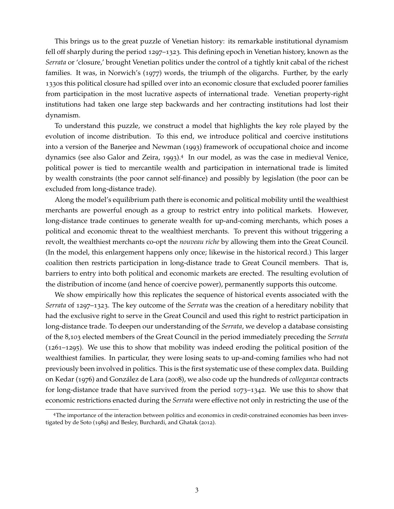This brings us to the great puzzle of Venetian history: its remarkable institutional dynamism fell off sharply during the period 1297–1323. This defining epoch in Venetian history, known as the *Serrata* or 'closure,' brought Venetian politics under the control of a tightly knit cabal of the richest families. It was, in [Norwich'](#page-40-1)s ([1977](#page-40-1)) words, the triumph of the oligarchs. Further, by the early 1330s this political closure had spilled over into an economic closure that excluded poorer families from participation in the most lucrative aspects of international trade. Venetian property-right institutions had taken one large step backwards and her contracting institutions had lost their dynamism.

To understand this puzzle, we construct a model that highlights the key role played by the evolution of income distribution. To this end, we introduce political and coercive institutions into a version of the [Banerjee and Newman](#page-36-6) ([1993](#page-36-6)) framework of occupational choice and income dynamics (see also [Galor and Zeira,](#page-37-2) [1993](#page-37-2)).<sup>[4](#page-4-0)</sup> In our model, as was the case in medieval Venice, political power is tied to mercantile wealth and participation in international trade is limited by wealth constraints (the poor cannot self-finance) and possibly by legislation (the poor can be excluded from long-distance trade).

Along the model's equilibrium path there is economic and political mobility until the wealthiest merchants are powerful enough as a group to restrict entry into political markets. However, long-distance trade continues to generate wealth for up-and-coming merchants, which poses a political and economic threat to the wealthiest merchants. To prevent this without triggering a revolt, the wealthiest merchants co-opt the *nouveau riche* by allowing them into the Great Council. (In the model, this enlargement happens only once; likewise in the historical record.) This larger coalition then restricts participation in long-distance trade to Great Council members. That is, barriers to entry into both political and economic markets are erected. The resulting evolution of the distribution of income (and hence of coercive power), permanently supports this outcome.

We show empirically how this replicates the sequence of historical events associated with the *Serrata* of 1297–1323. The key outcome of the *Serrata* was the creation of a hereditary nobility that had the exclusive right to serve in the Great Council and used this right to restrict participation in long-distance trade. To deepen our understanding of the *Serrata*, we develop a database consisting of the 8,103 elected members of the Great Council in the period immediately preceding the *Serrata* (1261–1295). We use this to show that mobility was indeed eroding the political position of the wealthiest families. In particular, they were losing seats to up-and-coming families who had not previously been involved in politics. This is the first systematic use of these complex data. Building on [Kedar](#page-38-11) ([1976](#page-38-11)) and [González de Lara](#page-38-5) ([2008](#page-38-5)), we also code up the hundreds of *colleganza* contracts for long-distance trade that have survived from the period 1073–1342. We use this to show that economic restrictions enacted during the *Serrata* were effective not only in restricting the use of the

<span id="page-4-0"></span><sup>4</sup>The importance of the interaction between politics and economics in credit-constrained economies has been investigated by [de Soto](#page-37-3) ([1989](#page-37-3)) and [Besley, Burchardi, and Ghatak](#page-37-4) ([2012](#page-37-4)).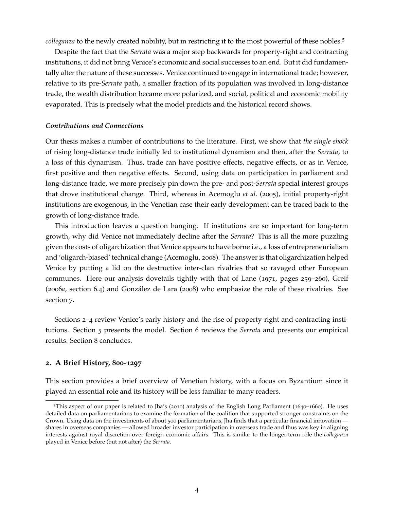*colleganza* to the newly created nobility, but in restricting it to the most powerful of these nobles.<sup>[5](#page-5-0)</sup>

Despite the fact that the *Serrata* was a major step backwards for property-right and contracting institutions, it did not bring Venice's economic and social successes to an end. But it did fundamentally alter the nature of these successes. Venice continued to engage in international trade; however, relative to its pre-*Serrata* path, a smaller fraction of its population was involved in long-distance trade, the wealth distribution became more polarized, and social, political and economic mobility evaporated. This is precisely what the model predicts and the historical record shows.

#### *Contributions and Connections*

Our thesis makes a number of contributions to the literature. First, we show that *the single shock* of rising long-distance trade initially led to institutional dynamism and then, after the *Serrata*, to a loss of this dynamism. Thus, trade can have positive effects, negative effects, or as in Venice, first positive and then negative effects. Second, using data on participation in parliament and long-distance trade, we more precisely pin down the pre- and post-*Serrata* special interest groups that drove institutional change. Third, whereas in [Acemoglu](#page-36-0) *et al.* ([2005](#page-36-0)), initial property-right institutions are exogenous, in the Venetian case their early development can be traced back to the growth of long-distance trade.

This introduction leaves a question hanging. If institutions are so important for long-term growth, why did Venice not immediately decline after the *Serrata*? This is all the more puzzling given the costs of oligarchization that Venice appears to have borne i.e., a loss of entrepreneurialism and 'oligarch-biased' technical change [\(Acemoglu,](#page-36-3) [2008](#page-36-3)). The answer is that oligarchization helped Venice by putting a lid on the destructive inter-clan rivalries that so ravaged other European communes. Here our analysis dovetails tightly with that of [Lane](#page-39-5) ([1971](#page-39-5), pages 259–260), [Greif](#page-38-0) ([2006](#page-38-0)*a*, section 6.4) and [González de Lara](#page-38-5) ([2008](#page-38-5)) who emphasize the role of these rivalries. See section [7](#page-33-0).

Sections [2](#page-5-1)–[4](#page-11-0) review Venice's early history and the rise of property-right and contracting institutions. Section [5](#page-16-0) presents the model. Section [6](#page-25-0) reviews the *Serrata* and presents our empirical results. Section [8](#page-35-0) concludes.

#### <span id="page-5-1"></span>**2. A Brief History, 800-1297**

This section provides a brief overview of Venetian history, with a focus on Byzantium since it played an essential role and its history will be less familiar to many readers.

<span id="page-5-0"></span><sup>5</sup>This aspect of our paper is related to Jha's ([2010](#page-38-6)) analysis of the English Long Parliament (1640–1660). He uses detailed data on parliamentarians to examine the formation of the coalition that supported stronger constraints on the Crown. Using data on the investments of about 500 parliamentarians, Jha finds that a particular financial innovation shares in overseas companies — allowed broader investor participation in overseas trade and thus was key in aligning interests against royal discretion over foreign economic affairs. This is similar to the longer-term role the *colleganza* played in Venice before (but not after) the *Serrata*.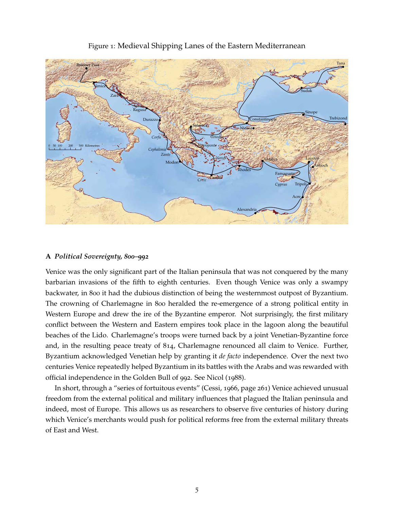

# <span id="page-6-0"></span>Figure 1: Medieval Shipping Lanes of the Eastern Mediterranean

# **A** *Political Sovereignty, 800–992*

Venice was the only significant part of the Italian peninsula that was not conquered by the many barbarian invasions of the fifth to eighth centuries. Even though Venice was only a swampy backwater, in 800 it had the dubious distinction of being the westernmost outpost of Byzantium. The crowning of Charlemagne in 800 heralded the re-emergence of a strong political entity in Western Europe and drew the ire of the Byzantine emperor. Not surprisingly, the first military conflict between the Western and Eastern empires took place in the lagoon along the beautiful beaches of the Lido. Charlemagne's troops were turned back by a joint Venetian-Byzantine force and, in the resulting peace treaty of 814, Charlemagne renounced all claim to Venice. Further, Byzantium acknowledged Venetian help by granting it *de facto* independence. Over the next two centuries Venice repeatedly helped Byzantium in its battles with the Arabs and was rewarded with official independence in the Golden Bull of 992. See [Nicol](#page-39-6) ([1988](#page-39-6)).

In short, through a "series of fortuitous events" [\(Cessi,](#page-37-5) [1966](#page-37-5), page 261) Venice achieved unusual freedom from the external political and military influences that plagued the Italian peninsula and indeed, most of Europe. This allows us as researchers to observe five centuries of history during which Venice's merchants would push for political reforms free from the external military threats of East and West.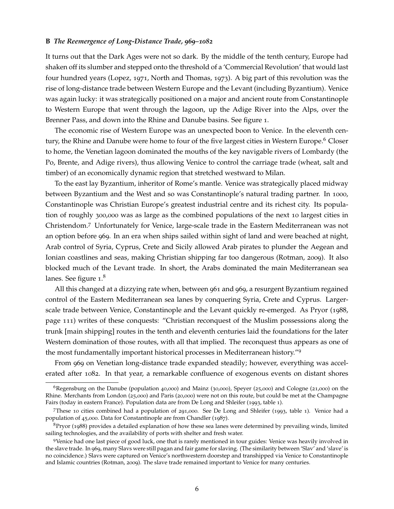#### **B** *The Reemergence of Long-Distance Trade, 969–1082*

It turns out that the Dark Ages were not so dark. By the middle of the tenth century, Europe had shaken off its slumber and stepped onto the threshold of a 'Commercial Revolution' that would last four hundred years [\(Lopez,](#page-39-0) [1971](#page-39-0), [North and Thomas,](#page-39-1) [1973](#page-39-1)). A big part of this revolution was the rise of long-distance trade between Western Europe and the Levant (including Byzantium). Venice was again lucky: it was strategically positioned on a major and ancient route from Constantinople to Western Europe that went through the lagoon, up the Adige River into the Alps, over the Brenner Pass, and down into the Rhine and Danube basins. See figure [1](#page-6-0).

The economic rise of Western Europe was an unexpected boon to Venice. In the eleventh cen-tury, the Rhine and Danube were home to four of the five largest cities in Western Europe.<sup>[6](#page-7-0)</sup> Closer to home, the Venetian lagoon dominated the mouths of the key navigable rivers of Lombardy (the Po, Brente, and Adige rivers), thus allowing Venice to control the carriage trade (wheat, salt and timber) of an economically dynamic region that stretched westward to Milan.

To the east lay Byzantium, inheritor of Rome's mantle. Venice was strategically placed midway between Byzantium and the West and so was Constantinople's natural trading partner. In 1000, Constantinople was Christian Europe's greatest industrial centre and its richest city. Its population of roughly 300,000 was as large as the combined populations of the next 10 largest cities in Christendom.[7](#page-7-1) Unfortunately for Venice, large-scale trade in the Eastern Mediterranean was not an option before 969. In an era when ships sailed within sight of land and were beached at night, Arab control of Syria, Cyprus, Crete and Sicily allowed Arab pirates to plunder the Aegean and Ionian coastlines and seas, making Christian shipping far too dangerous [\(Rotman,](#page-40-2) [2009](#page-40-2)). It also blocked much of the Levant trade. In short, the Arabs dominated the main Mediterranean sea lanes. See figure [1](#page-6-0).<sup>[8](#page-7-2)</sup>

All this changed at a dizzying rate when, between 961 and 969, a resurgent Byzantium regained control of the Eastern Mediterranean sea lanes by conquering Syria, Crete and Cyprus. Largerscale trade between Venice, Constantinople and the Levant quickly re-emerged. As [Pryor](#page-40-3) ([1988](#page-40-3), page 111) writes of these conquests: "Christian reconquest of the Muslim possessions along the trunk [main shipping] routes in the tenth and eleventh centuries laid the foundations for the later Western domination of those routes, with all that implied. The reconquest thus appears as one of the most fundamentally important historical processes in Mediterranean history."[9](#page-7-3)

From 969 on Venetian long-distance trade expanded steadily; however, everything was accelerated after 1082. In that year, a remarkable confluence of exogenous events on distant shores

<span id="page-7-0"></span><sup>&</sup>lt;sup>6</sup>Regensburg on the Danube (population 40,000) and Mainz (30,000), Speyer (25,000) and Cologne (21,000) on the Rhine. Merchants from London (25,000) and Paris (20,000) were not on this route, but could be met at the Champagne Fairs (today in eastern France). Population data are from [De Long and Shleifer](#page-37-6) ([1993](#page-37-6), table 1).

<span id="page-7-1"></span><sup>7</sup>These 10 cities combined had a population of 291,000. See [De Long and Shleifer](#page-37-6) ([1993](#page-37-6), table 1). Venice had a population of 45,000. Data for Constantinople are from [Chandler](#page-37-7) ([1987](#page-37-7)).

<span id="page-7-2"></span> $8P$ ryor ([1988](#page-40-3)) provides a detailed explanation of how these sea lanes were determined by prevailing winds, limited sailing technologies, and the availability of ports with shelter and fresh water.

<span id="page-7-3"></span><sup>9</sup>Venice had one last piece of good luck, one that is rarely mentioned in tour guides: Venice was heavily involved in the slave trade. In 969, many Slavs were still pagan and fair game for slaving. (The similarity between 'Slav' and 'slave' is no coincidence.) Slavs were captured on Venice's northwestern doorstep and transhipped via Venice to Constantinople and Islamic countries [\(Rotman,](#page-40-2) [2009](#page-40-2)). The slave trade remained important to Venice for many centuries.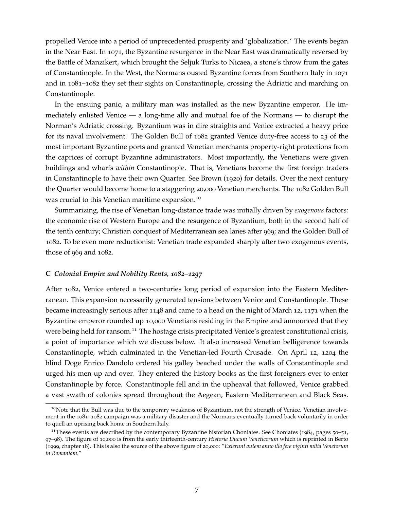propelled Venice into a period of unprecedented prosperity and 'globalization.' The events began in the Near East. In 1071, the Byzantine resurgence in the Near East was dramatically reversed by the Battle of Manzikert, which brought the Seljuk Turks to Nicaea, a stone's throw from the gates of Constantinople. In the West, the Normans ousted Byzantine forces from Southern Italy in 1071 and in 1081–1082 they set their sights on Constantinople, crossing the Adriatic and marching on Constantinople.

In the ensuing panic, a military man was installed as the new Byzantine emperor. He immediately enlisted Venice — a long-time ally and mutual foe of the Normans — to disrupt the Norman's Adriatic crossing. Byzantium was in dire straights and Venice extracted a heavy price for its naval involvement. The Golden Bull of 1082 granted Venice duty-free access to 23 of the most important Byzantine ports and granted Venetian merchants property-right protections from the caprices of corrupt Byzantine administrators. Most importantly, the Venetians were given buildings and wharfs *within* Constantinople. That is, Venetians become the first foreign traders in Constantinople to have their own Quarter. See [Brown](#page-37-8) ([1920](#page-37-8)) for details. Over the next century the Quarter would become home to a staggering 20,000 Venetian merchants. The 1082 Golden Bull was crucial to this Venetian maritime expansion.<sup>[10](#page-8-0)</sup>

Summarizing, the rise of Venetian long-distance trade was initially driven by *exogenous* factors: the economic rise of Western Europe and the resurgence of Byzantium, both in the second half of the tenth century; Christian conquest of Mediterranean sea lanes after 969; and the Golden Bull of 1082. To be even more reductionist: Venetian trade expanded sharply after two exogenous events, those of 969 and 1082.

#### <span id="page-8-2"></span>**C** *Colonial Empire and Nobility Rents, 1082–1297*

After 1082, Venice entered a two-centuries long period of expansion into the Eastern Mediterranean. This expansion necessarily generated tensions between Venice and Constantinople. These became increasingly serious after 1148 and came to a head on the night of March 12, 1171 when the Byzantine emperor rounded up 10,000 Venetians residing in the Empire and announced that they were being held for ransom.<sup>[11](#page-8-1)</sup> The hostage crisis precipitated Venice's greatest constitutional crisis, a point of importance which we discuss below. It also increased Venetian belligerence towards Constantinople, which culminated in the Venetian-led Fourth Crusade. On April 12, 1204 the blind Doge Enrico Dandolo ordered his galley beached under the walls of Constantinople and urged his men up and over. They entered the history books as the first foreigners ever to enter Constantinople by force. Constantinople fell and in the upheaval that followed, Venice grabbed a vast swath of colonies spread throughout the Aegean, Eastern Mediterranean and Black Seas.

<span id="page-8-0"></span><sup>&</sup>lt;sup>10</sup>Note that the Bull was due to the temporary weakness of Byzantium, not the strength of Venice. Venetian involvement in the 1081–1082 campaign was a military disaster and the Normans eventually turned back voluntarily in order to quell an uprising back home in Southern Italy.

<span id="page-8-1"></span><sup>&</sup>lt;sup>11</sup>These events are described by the contemporary Byzantine historian [Choniates](#page-37-9). See Choniates ([1984](#page-37-9), pages  $50-51$ , 97–98). The figure of 10,000 is from the early thirteenth-century *Historia Ducum Veneticorum* which is reprinted in [Berto](#page-36-7) ([1999](#page-36-7), chapter 18). This is also the source of the above figure of 20,000: "*Exierunt autem anno illo fere viginti milia Venetorum in Romaniam*."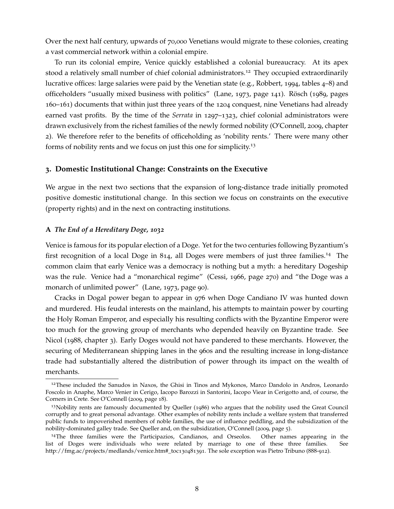Over the next half century, upwards of 70,000 Venetians would migrate to these colonies, creating a vast commercial network within a colonial empire.

To run its colonial empire, Venice quickly established a colonial bureaucracy. At its apex stood a relatively small number of chief colonial administrators.<sup>[12](#page-9-0)</sup> They occupied extraordinarily lucrative offices: large salaries were paid by the Venetian state (e.g., [Robbert,](#page-40-4) [1994](#page-40-4), tables 4–8) and officeholders "usually mixed business with politics" [\(Lane,](#page-39-7) [1973](#page-39-7), page 141). [Rösch](#page-40-5) ([1989](#page-40-5), pages 160–161) documents that within just three years of the 1204 conquest, nine Venetians had already earned vast profits. By the time of the *Serrata* in 1297–1323, chief colonial administrators were drawn exclusively from the richest families of the newly formed nobility [\(O'Connell,](#page-40-6) [2009](#page-40-6), chapter 2). We therefore refer to the benefits of officeholding as 'nobility rents.' There were many other forms of nobility rents and we focus on just this one for simplicity.[13](#page-9-1)

# **3. Domestic Institutional Change: Constraints on the Executive**

We argue in the next two sections that the expansion of long-distance trade initially promoted positive domestic institutional change. In this section we focus on constraints on the executive (property rights) and in the next on contracting institutions.

# **A** *The End of a Hereditary Doge, 1032*

Venice is famous for its popular election of a Doge. Yet for the two centuries following Byzantium's first recognition of a local Doge in 814, all Doges were members of just three families.[14](#page-9-2) The common claim that early Venice was a democracy is nothing but a myth: a hereditary Dogeship was the rule. Venice had a "monarchical regime" [\(Cessi,](#page-37-5) [1966](#page-37-5), page 270) and "the Doge was a monarch of unlimited power" [\(Lane,](#page-39-7) [1973](#page-39-7), page 90).

Cracks in Dogal power began to appear in 976 when Doge Candiano IV was hunted down and murdered. His feudal interests on the mainland, his attempts to maintain power by courting the Holy Roman Emperor, and especially his resulting conflicts with the Byzantine Emperor were too much for the growing group of merchants who depended heavily on Byzantine trade. See [Nicol](#page-39-6) ([1988](#page-39-6), chapter 3). Early Doges would not have pandered to these merchants. However, the securing of Mediterranean shipping lanes in the 960s and the resulting increase in long-distance trade had substantially altered the distribution of power through its impact on the wealth of merchants.

<span id="page-9-0"></span><sup>&</sup>lt;sup>12</sup>These included the Sanudos in Naxos, the Ghisi in Tinos and Mykonos, Marco Dandolo in Andros, Leonardo Foscolo in Anaphe, Marco Venier in Cerigo, Iacopo Barozzi in Santorini, Iacopo Viear in Cerigotto and, of course, the Corners in Crete. See [O'Connell](#page-40-6) ([2009](#page-40-6), page 18).

<span id="page-9-1"></span><sup>13</sup>Nobility rents are famously documented by [Queller](#page-40-7) ([1986](#page-40-7)) who argues that the nobility used the Great Council corruptly and to great personal advantage. Other examples of nobility rents include a welfare system that transferred public funds to impoverished members of noble families, the use of influence peddling, and the subsidization of the nobility-dominated galley trade. See Queller and, on the subsidization, [O'Connell](#page-40-6) ([2009](#page-40-6), page 5).

<span id="page-9-2"></span><sup>14</sup>The three families were the Participazios, Candianos, and Orseolos. Other names appearing in the list of Doges were individuals who were related by marriage to one of these three families. See http://fmg.ac/projects/medlands/venice.htm#\_toc130481391. The sole exception was Pietro Tribuno (888-912).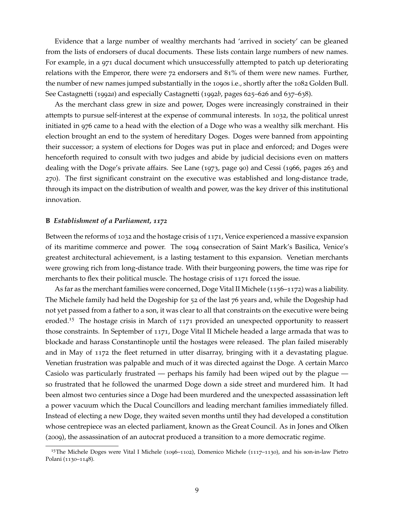Evidence that a large number of wealthy merchants had 'arrived in society' can be gleaned from the lists of endorsers of ducal documents. These lists contain large numbers of new names. For example, in a 971 ducal document which unsuccessfully attempted to patch up deteriorating relations with the Emperor, there were 72 endorsers and 81% of them were new names. Further, the number of new names jumped substantially in the 1090s i.e., shortly after the 1082 Golden Bull. See [Castagnetti](#page-37-10) ([1992](#page-37-10)*a*) and especially [Castagnetti](#page-37-11) ([1992](#page-37-11)*b*, pages 625–626 and 637–638).

As the merchant class grew in size and power, Doges were increasingly constrained in their attempts to pursue self-interest at the expense of communal interests. In 1032, the political unrest initiated in 976 came to a head with the election of a Doge who was a wealthy silk merchant. His election brought an end to the system of hereditary Doges. Doges were banned from appointing their successor; a system of elections for Doges was put in place and enforced; and Doges were henceforth required to consult with two judges and abide by judicial decisions even on matters dealing with the Doge's private affairs. See [Lane](#page-39-7) ([1973](#page-39-7), page 90) and [Cessi](#page-37-5) ([1966](#page-37-5), pages 263 and 270). The first significant constraint on the executive was established and long-distance trade, through its impact on the distribution of wealth and power, was the key driver of this institutional innovation.

## **B** *Establishment of a Parliament, 1172*

Between the reforms of 1032 and the hostage crisis of 1171, Venice experienced a massive expansion of its maritime commerce and power. The 1094 consecration of Saint Mark's Basilica, Venice's greatest architectural achievement, is a lasting testament to this expansion. Venetian merchants were growing rich from long-distance trade. With their burgeoning powers, the time was ripe for merchants to flex their political muscle. The hostage crisis of 1171 forced the issue.

As far as the merchant families were concerned, Doge Vital II Michele (1156–1172) was a liability. The Michele family had held the Dogeship for 52 of the last 76 years and, while the Dogeship had not yet passed from a father to a son, it was clear to all that constraints on the executive were being eroded.<sup>[15](#page-10-0)</sup> The hostage crisis in March of  $1171$  provided an unexpected opportunity to reassert those constraints. In September of 1171, Doge Vital II Michele headed a large armada that was to blockade and harass Constantinople until the hostages were released. The plan failed miserably and in May of 1172 the fleet returned in utter disarray, bringing with it a devastating plague. Venetian frustration was palpable and much of it was directed against the Doge. A certain Marco Casiolo was particularly frustrated — perhaps his family had been wiped out by the plague so frustrated that he followed the unarmed Doge down a side street and murdered him. It had been almost two centuries since a Doge had been murdered and the unexpected assassination left a power vacuum which the Ducal Councillors and leading merchant families immediately filled. Instead of electing a new Doge, they waited seven months until they had developed a constitution whose centrepiece was an elected parliament, known as the Great Council. As in [Jones and Olken](#page-38-12) ([2009](#page-38-12)), the assassination of an autocrat produced a transition to a more democratic regime.

<span id="page-10-0"></span><sup>15</sup>The Michele Doges were Vital I Michele (1096–1102), Domenico Michele (1117–1130), and his son-in-law Pietro Polani (1130–1148).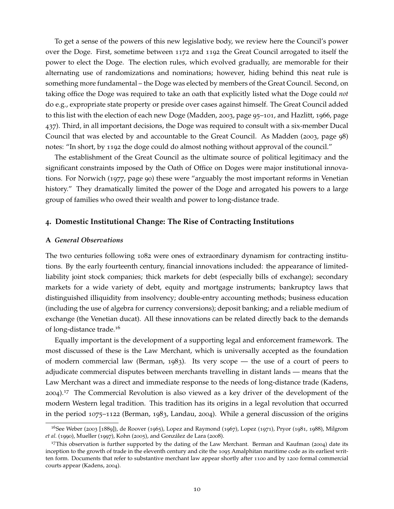To get a sense of the powers of this new legislative body, we review here the Council's power over the Doge. First, sometime between 1172 and 1192 the Great Council arrogated to itself the power to elect the Doge. The election rules, which evolved gradually, are memorable for their alternating use of randomizations and nominations; however, hiding behind this neat rule is something more fundamental – the Doge was elected by members of the Great Council. Second, on taking office the Doge was required to take an oath that explicitly listed what the Doge could *not* do e.g., expropriate state property or preside over cases against himself. The Great Council added to this list with the election of each new Doge [\(Madden,](#page-39-8) [2003](#page-39-8), page 95–101, and [Hazlitt,](#page-38-13) [1966](#page-38-13), page 437). Third, in all important decisions, the Doge was required to consult with a six-member Ducal Council that was elected by and accountable to the Great Council. As [Madden](#page-39-8) ([2003](#page-39-8), page 98) notes: "In short, by 1192 the doge could do almost nothing without approval of the council."

The establishment of the Great Council as the ultimate source of political legitimacy and the significant constraints imposed by the Oath of Office on Doges were major institutional innovations. For [Norwich](#page-40-1) ([1977](#page-40-1), page 90) these were "arguably the most important reforms in Venetian history." They dramatically limited the power of the Doge and arrogated his powers to a large group of families who owed their wealth and power to long-distance trade.

#### <span id="page-11-0"></span>**4. Domestic Institutional Change: The Rise of Contracting Institutions**

## **A** *General Observations*

The two centuries following 1082 were ones of extraordinary dynamism for contracting institutions. By the early fourteenth century, financial innovations included: the appearance of limitedliability joint stock companies; thick markets for debt (especially bills of exchange); secondary markets for a wide variety of debt, equity and mortgage instruments; bankruptcy laws that distinguished illiquidity from insolvency; double-entry accounting methods; business education (including the use of algebra for currency conversions); deposit banking; and a reliable medium of exchange (the Venetian ducat). All these innovations can be related directly back to the demands of long-distance trade.[16](#page-11-1)

Equally important is the development of a supporting legal and enforcement framework. The most discussed of these is the Law Merchant, which is universally accepted as the foundation of modern commercial law [\(Berman,](#page-36-8) [1983](#page-36-8)). Its very scope — the use of a court of peers to adjudicate commercial disputes between merchants travelling in distant lands — means that the Law Merchant was a direct and immediate response to the needs of long-distance trade [\(Kadens,](#page-38-14) [2004](#page-38-14)).[17](#page-11-2) The Commercial Revolution is also viewed as a key driver of the development of the modern Western legal tradition. This tradition has its origins in a legal revolution that occurred in the period 1075–1122 [\(Berman,](#page-36-8) [1983](#page-36-8), [Landau,](#page-38-15) [2004](#page-38-15)). While a general discussion of the origins

<span id="page-11-1"></span><sup>&</sup>lt;sup>16</sup>See [Weber](#page-41-0) ([2003](#page-41-0) [1889]), [de Roover](#page-37-0) ([1965](#page-37-0)), [Lopez and Raymond](#page-39-9) ([1967](#page-39-9)), [Lopez](#page-39-0) ([1971](#page-39-0)), [Pryor](#page-40-8) ([1981](#page-40-8), [1988](#page-40-3)), [Milgrom](#page-39-2) *[et al.](#page-39-2)* ([1990](#page-39-2)), [Mueller](#page-39-10) ([1997](#page-39-10)), [Kohn](#page-38-16) ([2005](#page-38-16)), and [González de Lara](#page-38-5) ([2008](#page-38-5)).

<span id="page-11-2"></span><sup>&</sup>lt;sup>17</sup>This observation is further supported by the dating of the Law Merchant. [Berman and Kaufman](#page-36-9) ([2004](#page-36-9)) date its inception to the growth of trade in the eleventh century and cite the 1095 Amalphitan maritime code as its earliest written form. Documents that refer to substantive merchant law appear shortly after 1100 and by 1200 formal commercial courts appear [\(Kadens,](#page-38-14) [2004](#page-38-14)).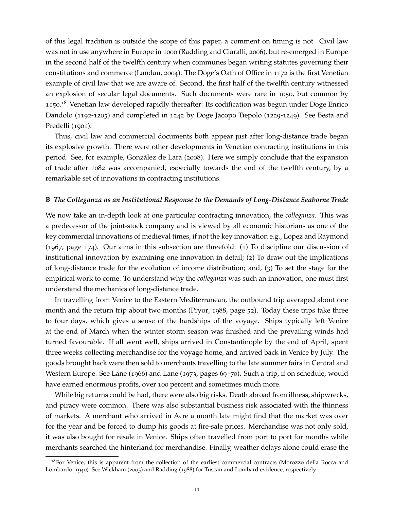of this legal tradition is outside the scope of this paper, a comment on timing is not. Civil law was not in use anywhere in Europe in 1000 [\(Radding and Ciaralli,](#page-40-9) [2006](#page-40-9)), but re-emerged in Europe in the second half of the twelfth century when communes began writing statutes governing their constitutions and commerce [\(Landau,](#page-38-15) [2004](#page-38-15)). The Doge's Oath of Office in 1172 is the first Venetian example of civil law that we are aware of. Second, the first half of the twelfth century witnessed an explosion of secular legal documents. Such documents were rare in 1050, but common by 1150.<sup>[18](#page-12-0)</sup> Venetian law developed rapidly thereafter: Its codification was begun under Doge Enrico Dandolo (1192-1205) and completed in 1242 by Doge Jacopo Tiepolo (1229-1249). See [Besta and](#page-37-12) [Predelli](#page-37-12) ([1901](#page-37-12)).

Thus, civil law and commercial documents both appear just after long-distance trade began its explosive growth. There were other developments in Venetian contracting institutions in this period. See, for example, [González de Lara](#page-38-5) ([2008](#page-38-5)). Here we simply conclude that the expansion of trade after 1082 was accompanied, especially towards the end of the twelfth century, by a remarkable set of innovations in contracting institutions.

#### **B** *The Colleganza as an Institutional Response to the Demands of Long-Distance Seaborne Trade*

We now take an in-depth look at one particular contracting innovation, the *colleganza*. This was a predecessor of the joint-stock company and is viewed by all economic historians as one of the key commercial innovations of medieval times, if not the key innovation e.g., [Lopez and Raymond](#page-39-9) ([1967](#page-39-9), page 174). Our aims in this subsection are threefold: (1) To discipline our discussion of institutional innovation by examining one innovation in detail; (2) To draw out the implications of long-distance trade for the evolution of income distribution; and, (3) To set the stage for the empirical work to come. To understand why the *colleganza* was such an innovation, one must first understand the mechanics of long-distance trade.

In travelling from Venice to the Eastern Mediterranean, the outbound trip averaged about one month and the return trip about two months [\(Pryor,](#page-40-3) [1988](#page-40-3), page 52). Today these trips take three to four days, which gives a sense of the hardships of the voyage. Ships typically left Venice at the end of March when the winter storm season was finished and the prevailing winds had turned favourable. If all went well, ships arrived in Constantinople by the end of April, spent three weeks collecting merchandise for the voyage home, and arrived back in Venice by July. The goods brought back were then sold to merchants travelling to the late summer fairs in Central and Western Europe. See [Lane](#page-39-11) ([1966](#page-39-11)) and [Lane](#page-39-7) ([1973](#page-39-7), pages 69–70). Such a trip, if on schedule, would have earned enormous profits, over 100 percent and sometimes much more.

While big returns could be had, there were also big risks. Death abroad from illness, shipwrecks, and piracy were common. There was also substantial business risk associated with the thinness of markets. A merchant who arrived in Acre a month late might find that the market was over for the year and be forced to dump his goods at fire-sale prices. Merchandise was not only sold, it was also bought for resale in Venice. Ships often travelled from port to port for months while merchants searched the hinterland for merchandise. Finally, weather delays alone could erase the

<span id="page-12-0"></span><sup>&</sup>lt;sup>18</sup>For Venice, this is apparent from the collection of the earliest commercial contracts [\(Morozzo della Rocca and](#page-39-12) [Lombardo,](#page-39-12) [1940](#page-39-12)). See [Wickham](#page-41-1) ([2003](#page-41-1)) and [Radding](#page-40-10) ([1988](#page-40-10)) for Tuscan and Lombard evidence, respectively.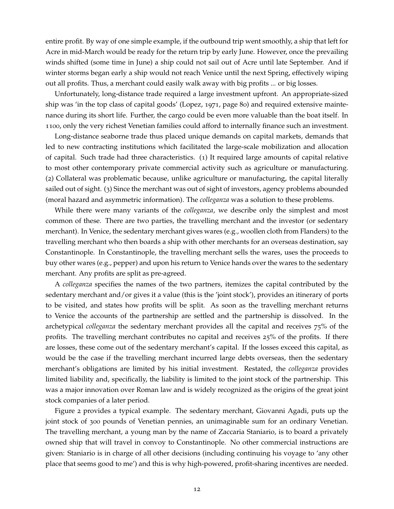entire profit. By way of one simple example, if the outbound trip went smoothly, a ship that left for Acre in mid-March would be ready for the return trip by early June. However, once the prevailing winds shifted (some time in June) a ship could not sail out of Acre until late September. And if winter storms began early a ship would not reach Venice until the next Spring, effectively wiping out all profits. Thus, a merchant could easily walk away with big profits ... or big losses.

Unfortunately, long-distance trade required a large investment upfront. An appropriate-sized ship was 'in the top class of capital goods' [\(Lopez,](#page-39-0) [1971](#page-39-0), page 80) and required extensive maintenance during its short life. Further, the cargo could be even more valuable than the boat itself. In 1100, only the very richest Venetian families could afford to internally finance such an investment.

Long-distance seaborne trade thus placed unique demands on capital markets, demands that led to new contracting institutions which facilitated the large-scale mobilization and allocation of capital. Such trade had three characteristics. (1) It required large amounts of capital relative to most other contemporary private commercial activity such as agriculture or manufacturing. (2) Collateral was problematic because, unlike agriculture or manufacturing, the capital literally sailed out of sight. (3) Since the merchant was out of sight of investors, agency problems abounded (moral hazard and asymmetric information). The *colleganza* was a solution to these problems.

While there were many variants of the *colleganza*, we describe only the simplest and most common of these. There are two parties, the travelling merchant and the investor (or sedentary merchant). In Venice, the sedentary merchant gives wares (e.g., woollen cloth from Flanders) to the travelling merchant who then boards a ship with other merchants for an overseas destination, say Constantinople. In Constantinople, the travelling merchant sells the wares, uses the proceeds to buy other wares (e.g., pepper) and upon his return to Venice hands over the wares to the sedentary merchant. Any profits are split as pre-agreed.

A *colleganza* specifies the names of the two partners, itemizes the capital contributed by the sedentary merchant and/or gives it a value (this is the 'joint stock'), provides an itinerary of ports to be visited, and states how profits will be split. As soon as the travelling merchant returns to Venice the accounts of the partnership are settled and the partnership is dissolved. In the archetypical *colleganza* the sedentary merchant provides all the capital and receives 75% of the profits. The travelling merchant contributes no capital and receives 25% of the profits. If there are losses, these come out of the sedentary merchant's capital. If the losses exceed this capital, as would be the case if the travelling merchant incurred large debts overseas, then the sedentary merchant's obligations are limited by his initial investment. Restated, the *colleganza* provides limited liability and, specifically, the liability is limited to the joint stock of the partnership. This was a major innovation over Roman law and is widely recognized as the origins of the great joint stock companies of a later period.

Figure [2](#page-14-0) provides a typical example. The sedentary merchant, Giovanni Agadi, puts up the joint stock of 300 pounds of Venetian pennies, an unimaginable sum for an ordinary Venetian. The travelling merchant, a young man by the name of Zaccaria Staniario, is to board a privately owned ship that will travel in convoy to Constantinople. No other commercial instructions are given: Staniario is in charge of all other decisions (including continuing his voyage to 'any other place that seems good to me') and this is why high-powered, profit-sharing incentives are needed.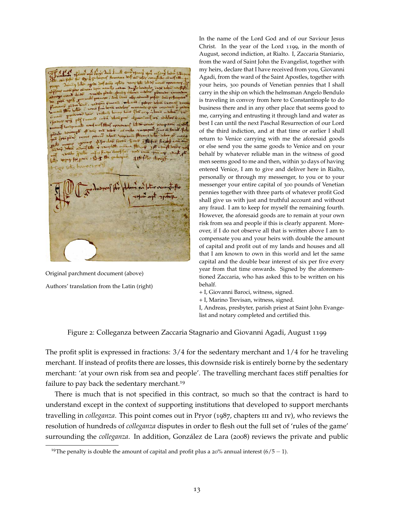The first fire 411

Original parchment document (above) Authors' translation from the Latin (right)

In the name of the Lord God and of our Saviour Jesus Christ. In the year of the Lord 1199, in the month of August, second indiction, at Rialto. I, Zaccaria Staniario, from the ward of Saint John the Evangelist, together with my heirs, declare that I have received from you, Giovanni Agadi, from the ward of the Saint Apostles, together with your heirs, 300 pounds of Venetian pennies that I shall carry in the ship on which the helmsman Angelo Bendulo is traveling in convoy from here to Constantinople to do business there and in any other place that seems good to me, carrying and entrusting it through land and water as best I can until the next Paschal Resurrection of our Lord of the third indiction, and at that time or earlier I shall return to Venice carrying with me the aforesaid goods or else send you the same goods to Venice and on your behalf by whatever reliable man in the witness of good men seems good to me and then, within 30 days of having entered Venice, I am to give and deliver here in Rialto, personally or through my messenger, to you or to your messenger your entire capital of 300 pounds of Venetian pennies together with three parts of whatever profit God shall give us with just and truthful account and without any fraud. I am to keep for myself the remaining fourth. However, the aforesaid goods are to remain at your own risk from sea and people if this is clearly apparent. Moreover, if I do not observe all that is written above I am to compensate you and your heirs with double the amount of capital and profit out of my lands and houses and all that I am known to own in this world and let the same capital and the double bear interest of six per five every year from that time onwards. Signed by the aforementioned Zaccaria, who has asked this to be written on his behalf.

+ I, Giovanni Baroci, witness, signed.

+ I, Marino Trevisan, witness, signed.

I, Andreas, presbyter, parish priest at Saint John Evangelist and notary completed and certified this.

<span id="page-14-0"></span>Figure 2: Colleganza between Zaccaria Stagnario and Giovanni Agadi, August 1199

The profit split is expressed in fractions: 3/4 for the sedentary merchant and 1/4 for he traveling merchant. If instead of profits there are losses, this downside risk is entirely borne by the sedentary merchant: 'at your own risk from sea and people'. The travelling merchant faces stiff penalties for failure to pay back the sedentary merchant.<sup>[19](#page-14-1)</sup>

There is much that is not specified in this contract, so much so that the contract is hard to understand except in the context of supporting institutions that developed to support merchants travelling in *colleganza*. This point comes out in [Pryor](#page-40-11) ([1987](#page-40-11), chapters iii and iv), who reviews the resolution of hundreds of *colleganza* disputes in order to flesh out the full set of 'rules of the game' surrounding the *colleganza*. In addition, [González de Lara](#page-38-5) ([2008](#page-38-5)) reviews the private and public

<span id="page-14-1"></span><sup>&</sup>lt;sup>19</sup>The penalty is double the amount of capital and profit plus a 20% annual interest (6/5 – 1).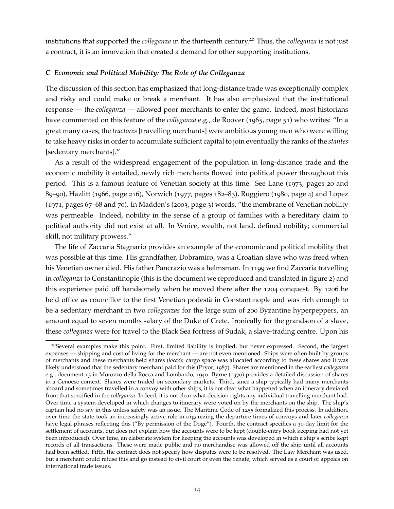institutions that supported the *colleganza* in the thirteenth century.[20](#page-15-0) Thus, the *colleganza* is not just a contract, it is an innovation that created a demand for other supporting institutions.

## **C** *Economic and Political Mobility: The Role of the Colleganza*

The discussion of this section has emphasized that long-distance trade was exceptionally complex and risky and could make or break a merchant. It has also emphasized that the institutional response — the *colleganza* — allowed poor merchants to enter the game. Indeed, most historians have commented on this feature of the *colleganza* e.g., [de Roover](#page-37-0) ([1965](#page-37-0), page 51) who writes: "In a great many cases, the *tractores* [travelling merchants] were ambitious young men who were willing to take heavy risks in order to accumulate sufficient capital to join eventually the ranks of the *stantes* [sedentary merchants]."

As a result of the widespread engagement of the population in long-distance trade and the economic mobility it entailed, newly rich merchants flowed into political power throughout this period. This is a famous feature of Venetian society at this time. See [Lane](#page-39-7) ([1973](#page-39-7), pages 20 and 89–90), [Hazlitt](#page-38-13) ([1966](#page-38-13), page 216), [Norwich](#page-40-1) ([1977](#page-40-1), pages 182–83), [Ruggiero](#page-40-12) ([1980](#page-40-12), page 4) and [Lopez](#page-39-0) ([1971](#page-39-0), pages 67–68 and 70). In Madden's ([2003](#page-39-8), page 3) words, "the membrane of Venetian nobility was permeable. Indeed, nobility in the sense of a group of families with a hereditary claim to political authority did not exist at all. In Venice, wealth, not land, defined nobility; commercial skill, not military prowess."

The life of Zaccaria Stagnario provides an example of the economic and political mobility that was possible at this time. His grandfather, Dobramiro, was a Croatian slave who was freed when his Venetian owner died. His father Pancrazio was a helmsman. In 1199 we find Zaccaria travelling in *colleganza* to Constantinople (this is the document we reproduced and translated in figure [2](#page-14-0)) and this experience paid off handsomely when he moved there after the 1204 conquest. By 1206 he held office as councillor to the first Venetian podestà in Constantinople and was rich enough to be a sedentary merchant in two *colleganzas* for the large sum of 200 Byzantine hyperpeppers, an amount equal to seven months salary of the Duke of Crete. Ironically for the grandson of a slave, these *colleganza* were for travel to the Black Sea fortress of Sudak, a slave-trading centre. Upon his

<span id="page-15-0"></span><sup>&</sup>lt;sup>20</sup>Several examples make this point. First, limited liability is implied, but never expressed. Second, the largest expenses — shipping and cost of living for the merchant — are not even mentioned. Ships were often built by groups of merchants and these merchants held shares (*locae*): cargo space was allocated according to these shares and it was likely understood that the sedentary merchant paid for this [\(Pryor,](#page-40-11) [1987](#page-40-11)). Shares are mentioned in the earliest *colleganza* e.g., document 13 in [Morozzo della Rocca and Lombardo,](#page-39-12) [1940](#page-39-12). [Byrne](#page-37-13) ([1970](#page-37-13)) provides a detailed discussion of shares in a Genoese context. Shares were traded on secondary markets. Third, since a ship typically had many merchants aboard and sometimes travelled in a convoy with other ships, it is not clear what happened when an itinerary deviated from that specified in the *colleganza*. Indeed, it is not clear what decision rights any individual travelling merchant had. Over time a system developed in which changes to itinerary were voted on by the merchants on the ship. The ship's captain had no say in this unless safety was an issue. The Maritime Code of 1255 formalized this process. In addition, over time the state took an increasingly active role in organizing the departure times of convoys and later *colleganza* have legal phrases reflecting this ("By permission of the Doge"). Fourth, the contract specifies a 30-day limit for the settlement of accounts, but does not explain how the accounts were to be kept (double-entry book keeping had not yet been introduced). Over time, an elaborate system for keeping the accounts was developed in which a ship's scribe kept records of all transactions. These were made public and no merchandise was allowed off the ship until all accounts had been settled. Fifth, the contract does not specify how disputes were to be resolved. The Law Merchant was used, but a merchant could refuse this and go instead to civil court or even the Senate, which served as a court of appeals on international trade issues.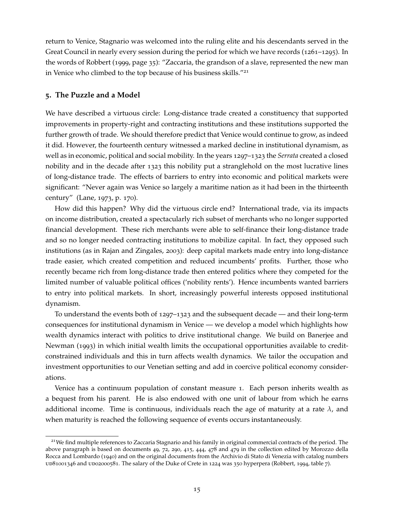return to Venice, Stagnario was welcomed into the ruling elite and his descendants served in the Great Council in nearly every session during the period for which we have records (1261–1295). In the words of [Robbert](#page-40-13) ([1999](#page-40-13), page 35): "Zaccaria, the grandson of a slave, represented the new man in Venice who climbed to the top because of his business skills."<sup>[21](#page-16-1)</sup>

# <span id="page-16-0"></span>**5. The Puzzle and a Model**

We have described a virtuous circle: Long-distance trade created a constituency that supported improvements in property-right and contracting institutions and these institutions supported the further growth of trade. We should therefore predict that Venice would continue to grow, as indeed it did. However, the fourteenth century witnessed a marked decline in institutional dynamism, as well as in economic, political and social mobility. In the years 1297–1323 the *Serrata* created a closed nobility and in the decade after 1323 this nobility put a stranglehold on the most lucrative lines of long-distance trade. The effects of barriers to entry into economic and political markets were significant: "Never again was Venice so largely a maritime nation as it had been in the thirteenth century" [\(Lane,](#page-39-7) [1973](#page-39-7), p. 170).

How did this happen? Why did the virtuous circle end? International trade, via its impacts on income distribution, created a spectacularly rich subset of merchants who no longer supported financial development. These rich merchants were able to self-finance their long-distance trade and so no longer needed contracting institutions to mobilize capital. In fact, they opposed such institutions (as in [Rajan and Zingales,](#page-40-0) [2003](#page-40-0)): deep capital markets made entry into long-distance trade easier, which created competition and reduced incumbents' profits. Further, those who recently became rich from long-distance trade then entered politics where they competed for the limited number of valuable political offices ('nobility rents'). Hence incumbents wanted barriers to entry into political markets. In short, increasingly powerful interests opposed institutional dynamism.

To understand the events both of 1297–1323 and the subsequent decade — and their long-term consequences for institutional dynamism in Venice — we develop a model which highlights how wealth dynamics interact with politics to drive institutional change. We build on [Banerjee and](#page-36-6) [Newman](#page-36-6) ([1993](#page-36-6)) in which initial wealth limits the occupational opportunities available to creditconstrained individuals and this in turn affects wealth dynamics. We tailor the occupation and investment opportunities to our Venetian setting and add in coercive political economy considerations.

Venice has a continuum population of constant measure 1. Each person inherits wealth as a bequest from his parent. He is also endowed with one unit of labour from which he earns additional income. Time is continuous, individuals reach the age of maturity at a rate *λ*, and when maturity is reached the following sequence of events occurs instantaneously.

<span id="page-16-1"></span><sup>&</sup>lt;sup>21</sup>We find multiple references to Zaccaria Stagnario and his family in original commercial contracts of the period. The above paragraph is based on documents 49, 72, 290, 415, 444, 478 and 479 in the collection edited by [Morozzo della](#page-39-12) [Rocca and Lombardo](#page-39-12) ([1940](#page-39-12)) and on the original documents from the Archivio di Stato di Venezia with catalog numbers ud81001346 and ud02000581. The salary of the Duke of Crete in 1224 was 350 hyperpera [\(Robbert,](#page-40-4) [1994](#page-40-4), table 7).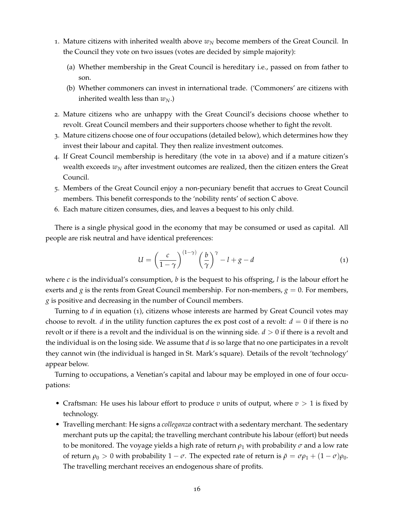- <span id="page-17-0"></span>1. Mature citizens with inherited wealth above  $w_N$  become members of the Great Council. In the Council they vote on two issues (votes are decided by simple majority):
	- (a) Whether membership in the Great Council is hereditary i.e., passed on from father to son.
	- (b) Whether commoners can invest in international trade. ('Commoners' are citizens with inherited wealth less than  $w_N$ .)
- <span id="page-17-3"></span>2. Mature citizens who are unhappy with the Great Council's decisions choose whether to revolt. Great Council members and their supporters choose whether to fight the revolt.
- 3. Mature citizens choose one of four occupations (detailed below), which determines how they invest their labour and capital. They then realize investment outcomes.
- <span id="page-17-2"></span>4. If Great Council membership is hereditary (the vote in 1[a](#page-17-0) above) and if a mature citizen's wealth exceeds  $w_N$  after investment outcomes are realized, then the citizen enters the Great Council.
- 5. Members of the Great Council enjoy a non-pecuniary benefit that accrues to Great Council members. This benefit corresponds to the 'nobility rents' of section [C](#page-8-2) above.
- 6. Each mature citizen consumes, dies, and leaves a bequest to his only child.

There is a single physical good in the economy that may be consumed or used as capital. All people are risk neutral and have identical preferences:

<span id="page-17-1"></span>
$$
U = \left(\frac{c}{1-\gamma}\right)^{(1-\gamma)} \left(\frac{b}{\gamma}\right)^{\gamma} - l + g - d \tag{1}
$$

where  $c$  is the individual's consumption,  $b$  is the bequest to his offspring,  $l$  is the labour effort he exerts and *g* is the rents from Great Council membership. For non-members,  $g = 0$ . For members, *g* is positive and decreasing in the number of Council members.

Turning to *d* in equation ([1](#page-17-1)), citizens whose interests are harmed by Great Council votes may choose to revolt. *d* in the utility function captures the ex post cost of a revolt:  $d = 0$  if there is no revolt or if there is a revolt and the individual is on the winning side. *d* > 0 if there is a revolt and the individual is on the losing side. We assume that *d* is so large that no one participates in a revolt they cannot win (the individual is hanged in St. Mark's square). Details of the revolt 'technology' appear below.

Turning to occupations, a Venetian's capital and labour may be employed in one of four occupations:

- Craftsman: He uses his labour effort to produce *v* units of output, where  $v > 1$  is fixed by technology.
- Travelling merchant: He signs a *colleganza* contract with a sedentary merchant. The sedentary merchant puts up the capital; the travelling merchant contribute his labour (effort) but needs to be monitored. The voyage yields a high rate of return  $\rho_1$  with probability  $\sigma$  and a low rate of return  $\rho_0 > 0$  with probability  $1 - \sigma$ . The expected rate of return is  $\bar{\rho} = \sigma \rho_1 + (1 - \sigma) \rho_0$ . The travelling merchant receives an endogenous share of profits.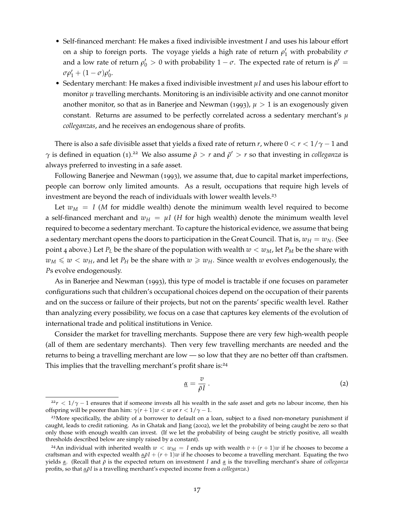- Self-financed merchant: He makes a fixed indivisible investment *I* and uses his labour effort on a ship to foreign ports. The voyage yields a high rate of return  $\rho'_1$  with probability  $\sigma$ and a low rate of return  $\rho'_0 > 0$  with probability  $1 - \sigma$ . The expected rate of return is  $\bar{\rho}' =$  $\sigma \rho_1' + (1 - \sigma) \rho_0'.$
- Sedentary merchant: He makes a fixed indivisible investment *µI* and uses his labour effort to monitor  $\mu$  travelling merchants. Monitoring is an indivisible activity and one cannot monitor another monitor, so that as in [Banerjee and Newman](#page-36-6) ([1993](#page-36-6)),  $\mu > 1$  is an exogenously given constant. Returns are assumed to be perfectly correlated across a sedentary merchant's *µ colleganzas*, and he receives an endogenous share of profits.

There is also a safe divisible asset that yields a fixed rate of return *r*, where  $0 < r < 1/\gamma - 1$  and *γ* is defined in equation ([1](#page-17-1)).<sup>[22](#page-18-0)</sup> We also assume  $\bar{\rho} > r$  and  $\bar{\rho}' > r$  so that investing in *colleganza* is always preferred to investing in a safe asset.

Following [Banerjee and Newman](#page-36-6) ([1993](#page-36-6)), we assume that, due to capital market imperfections, people can borrow only limited amounts. As a result, occupations that require high levels of investment are beyond the reach of individuals with lower wealth levels.<sup>[23](#page-18-1)</sup>

Let  $w_M = I$  (*M* for middle wealth) denote the minimum wealth level required to become a self-financed merchant and  $w_H = \mu I$  (*H* for high wealth) denote the minimum wealth level required to become a sedentary merchant. To capture the historical evidence, we assume that being a sedentary merchant opens the doors to participation in the Great Council. That is,  $w_H = w_N$ . (See point [4](#page-17-2) above.) Let  $P_L$  be the share of the population with wealth  $w < w_M$ , let  $P_M$  be the share with  $w_M \leq w \leq w_H$ , and let  $P_H$  be the share with  $w \geq w_H$ . Since wealth *w* evolves endogenously, the *P*s evolve endogenously.

As in [Banerjee and Newman](#page-36-6) ([1993](#page-36-6)), this type of model is tractable if one focuses on parameter configurations such that children's occupational choices depend on the occupation of their parents and on the success or failure of their projects, but not on the parents' specific wealth level. Rather than analyzing every possibility, we focus on a case that captures key elements of the evolution of international trade and political institutions in Venice.

Consider the market for travelling merchants. Suppose there are very few high-wealth people (all of them are sedentary merchants). Then very few travelling merchants are needed and the returns to being a travelling merchant are low — so low that they are no better off than craftsmen. This implies that the travelling merchant's profit share is:<sup>[24](#page-18-2)</sup>

<span id="page-18-3"></span>
$$
\underline{\alpha} = \frac{\upsilon}{\bar{\rho}I} \,. \tag{2}
$$

<span id="page-18-0"></span> $22r < 1/\gamma - 1$  ensures that if someone invests all his wealth in the safe asset and gets no labour income, then his offspring will be poorer than him:  $\gamma(r+1)w < w$  or  $r < 1/\gamma - 1$ .

<span id="page-18-1"></span><sup>&</sup>lt;sup>23</sup>More specifically, the ability of a borrower to default on a loan, subject to a fixed non-monetary punishment if caught, leads to credit rationing. As in [Ghatak and Jiang](#page-38-17) ([2002](#page-38-17)), we let the probability of being caught be zero so that only those with enough wealth can invest. (If we let the probability of being caught be strictly positive, all wealth thresholds described below are simply raised by a constant).

<span id="page-18-2"></span><sup>&</sup>lt;sup>24</sup>An individual with inherited wealth  $w < w_M = I$  ends up with wealth  $v + (r + 1)w$  if he chooses to become a craftsman and with expected wealth  $\alpha \bar{p}I + (r + 1)w$  if he chooses to become a travelling merchant. Equating the two yields *α*. (Recall that *ρ*¯ is the expected return on investment *I* and *α* is the travelling merchant's share of *colleganza* profits, so that *αρ*¯*I* is a travelling merchant's expected income from a *colleganza*.)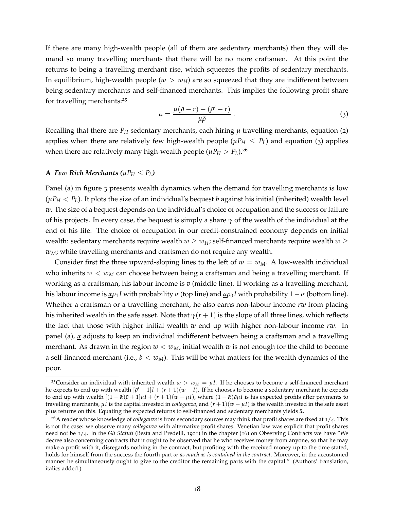If there are many high-wealth people (all of them are sedentary merchants) then they will demand so many travelling merchants that there will be no more craftsmen. At this point the returns to being a travelling merchant rise, which squeezes the profits of sedentary merchants. In equilibrium, high-wealth people ( $w > w_H$ ) are so squeezed that they are indifferent between being sedentary merchants and self-financed merchants. This implies the following profit share for travelling merchants:<sup>[25](#page-19-0)</sup>

<span id="page-19-1"></span>
$$
\bar{\alpha} = \frac{\mu(\bar{\rho} - r) - (\bar{\rho}' - r)}{\mu \bar{\rho}} \,. \tag{3}
$$

Recalling that there are  $P_H$  sedentary merchants, each hiring  $\mu$  travelling merchants, equation ([2](#page-18-3)) applies when there are relatively few high-wealth people ( $\mu P_H \leq P_L$ ) and equation ([3](#page-19-1)) applies when there are relatively many high-wealth people ( $\mu P_H > P_L$ ).<sup>[26](#page-19-2)</sup>

# **A** *Few Rich Merchants (* $\mu P_H \leq P_L$ *)*

Panel (a) in figure [3](#page-20-0) presents wealth dynamics when the demand for travelling merchants is low  $(\mu P_H < P_L)$ . It plots the size of an individual's bequest *b* against his initial (inherited) wealth level *w*. The size of a bequest depends on the individual's choice of occupation and the success or failure of his projects. In every case, the bequest is simply a share  $\gamma$  of the wealth of the individual at the end of his life. The choice of occupation in our credit-constrained economy depends on initial wealth: sedentary merchants require wealth  $w \geq w_H$ ; self-financed merchants require wealth  $w \geq w_H$ *wM*; while travelling merchants and craftsmen do not require any wealth.

Consider first the three upward-sloping lines to the left of  $w = w_M$ . A low-wealth individual who inherits  $w < w<sub>M</sub>$  can choose between being a craftsman and being a travelling merchant. If working as a craftsman, his labour income is *v* (middle line). If working as a travelling merchant, his labour income is  $\alpha \rho_1 I$  with probability  $\sigma$  (top line) and  $\alpha \rho_0 I$  with probability  $1 - \sigma$  (bottom line). Whether a craftsman or a travelling merchant, he also earns non-labour income *rw* from placing his inherited wealth in the safe asset. Note that  $\gamma(r+1)$  is the slope of all three lines, which reflects the fact that those with higher initial wealth *w* end up with higher non-labour income *rw*. In panel (a), *α* adjusts to keep an individual indifferent between being a craftsman and a travelling merchant. As drawn in the region  $w < w_M$ , initial wealth  $w$  is not enough for the child to become a self-financed merchant (i.e.,  $b < w_M$ ). This will be what matters for the wealth dynamics of the poor.

<span id="page-19-0"></span><sup>&</sup>lt;sup>25</sup>Consider an individual with inherited wealth  $w > w_H = \mu I$ . If he chooses to become a self-financed merchant he expects to end up with wealth  $\left[\bar{\rho}'+1\right]I + \left(r+1\right)\left(w-I\right)$ . If he chooses to become a sedentary merchant he expects to end up with wealth  $[(1 - \bar{\alpha})\bar{\rho} + 1]\mu I + (r + 1)(w - \mu I)$ , where  $(1 - \bar{\alpha})\bar{\rho}\mu I$  is his expected profits after payments to travelling merchants,  $\mu$ *I* is the capital invested in *colleganza*, and  $(r + 1)(w - \mu I)$  is the wealth invested in the safe asset plus returns on this. Equating the expected returns to self-financed and sedentary merchants yields  $\bar{\alpha}$ .

<span id="page-19-2"></span><sup>26</sup>A reader whose knowledge of *colleganze* is from secondary sources may think that profit shares are fixed at 1/4. This is not the case: we observe many *colleganza* with alternative profit shares. Venetian law was explicit that profit shares need not be 1/4. In the *Gli Statuti* [\(Besta and Predelli,](#page-37-12) [1901](#page-37-12)) in the chapter (16) on Observing Contracts we have "We decree also concerning contracts that it ought to be observed that he who receives money from anyone, so that he may make a profit with it, disregards nothing in the contract, but profiting with the received money up to the time stated, holds for himself from the success the fourth part *or as much as is contained in the contract*. Moreover, in the accustomed manner he simultaneously ought to give to the creditor the remaining parts with the capital." (Authors' translation, italics added.)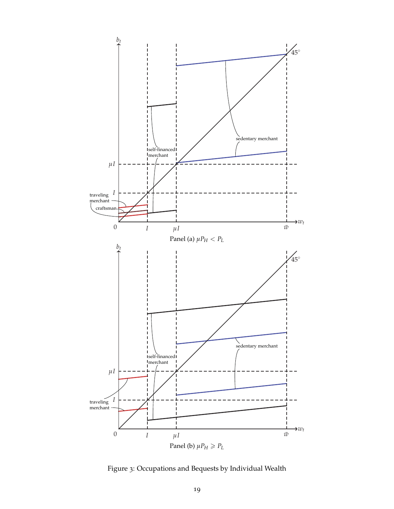

<span id="page-20-0"></span>Figure 3: Occupations and Bequests by Individual Wealth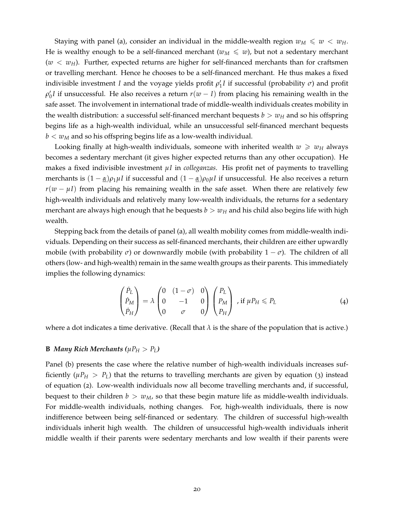Staying with panel (a), consider an individual in the middle-wealth region  $w_M \leq w < w_H$ . He is wealthy enough to be a self-financed merchant ( $w_M \leq w$ ), but not a sedentary merchant  $(w < w_H)$ . Further, expected returns are higher for self-financed merchants than for craftsmen or travelling merchant. Hence he chooses to be a self-financed merchant. He thus makes a fixed indivisible investment *I* and the voyage yields profit  $\rho'_1I$  if successful (probability  $\sigma$ ) and profit  $\rho'_0$ *I* if unsuccessful. He also receives a return  $r(w-I)$  from placing his remaining wealth in the safe asset. The involvement in international trade of middle-wealth individuals creates mobility in the wealth distribution: a successful self-financed merchant bequests  $b > w_H$  and so his offspring begins life as a high-wealth individual, while an unsuccessful self-financed merchant bequests  $b < w<sub>M</sub>$  and so his offspring begins life as a low-wealth individual.

Looking finally at high-wealth individuals, someone with inherited wealth  $w \geq w_H$  always becomes a sedentary merchant (it gives higher expected returns than any other occupation). He makes a fixed indivisible investment *µI* in *colleganzas*. His profit net of payments to travelling merchants is  $(1 - \alpha)\rho_1\mu I$  if successful and  $(1 - \alpha)\rho_0\mu I$  if unsuccessful. He also receives a return  $r(w - \mu I)$  from placing his remaining wealth in the safe asset. When there are relatively few high-wealth individuals and relatively many low-wealth individuals, the returns for a sedentary merchant are always high enough that he bequests  $b > w_H$  and his child also begins life with high wealth.

Stepping back from the details of panel (a), all wealth mobility comes from middle-wealth individuals. Depending on their success as self-financed merchants, their children are either upwardly mobile (with probability  $\sigma$ ) or downwardly mobile (with probability  $1 - \sigma$ ). The children of all others (low- and high-wealth) remain in the same wealth groups as their parents. This immediately implies the following dynamics:

<span id="page-21-0"></span>
$$
\begin{pmatrix} \dot{P}_L \\ \dot{P}_M \\ \dot{P}_H \end{pmatrix} = \lambda \begin{pmatrix} 0 & (1 - \sigma) & 0 \\ 0 & -1 & 0 \\ 0 & \sigma & 0 \end{pmatrix} \begin{pmatrix} P_L \\ P_M \\ P_H \end{pmatrix} , \text{ if } \mu P_H \leq P_L \tag{4}
$$

where a dot indicates a time derivative. (Recall that  $\lambda$  is the share of the population that is active.)

#### **B** *Many Rich Merchants* ( $\mu P_H > P_L$ )

Panel (b) presents the case where the relative number of high-wealth individuals increases sufficiently ( $\mu P_H > P_L$ ) that the returns to travelling merchants are given by equation ([3](#page-19-1)) instead of equation ([2](#page-18-3)). Low-wealth individuals now all become travelling merchants and, if successful, bequest to their children  $b > w_M$ , so that these begin mature life as middle-wealth individuals. For middle-wealth individuals, nothing changes. For, high-wealth individuals, there is now indifference between being self-financed or sedentary. The children of successful high-wealth individuals inherit high wealth. The children of unsuccessful high-wealth individuals inherit middle wealth if their parents were sedentary merchants and low wealth if their parents were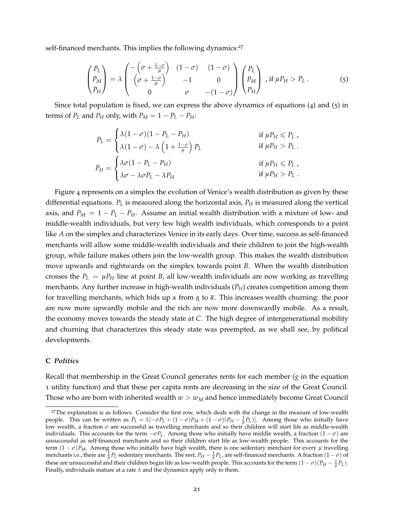self-financed merchants. This implies the following dynamics:<sup>[27](#page-22-0)</sup>

<span id="page-22-1"></span>
$$
\begin{pmatrix}\n\dot{P}_L \\
\dot{P}_M \\
\dot{P}_H\n\end{pmatrix} = \lambda \begin{pmatrix}\n-\left(\sigma + \frac{1-\sigma}{\mu}\right) & (1-\sigma) & (1-\sigma) \\
\left(\sigma + \frac{1-\sigma}{\mu}\right) & -1 & 0 \\
0 & \sigma & -(1-\sigma)\n\end{pmatrix}\n\begin{pmatrix}\nP_L \\
P_M \\
P_H\n\end{pmatrix}, \text{ if } \mu P_H > P_L .
$$
\n(5)

Since total population is fixed, we can express the above dynamics of equations ([4](#page-21-0)) and ([5](#page-22-1)) in terms of  $P_L$  and  $P_H$  only, with  $P_M = 1 - P_L - P_H$ :

$$
\dot{P}_L = \begin{cases}\n\lambda(1-\sigma)(1-P_L-P_H) & \text{if } \mu P_H \leq P_L, \\
\lambda(1-\sigma) - \lambda \left(1 + \frac{1-\sigma}{\mu}\right) P_L & \text{if } \mu P_H > P_L. \\
\lambda \sigma(1-P_L-P_H) & \text{if } \mu P_H \leq P_L, \\
\lambda \sigma - \lambda \sigma P_L - \lambda P_H & \text{if } \mu P_H > P_L.\n\end{cases}
$$

Figure [4](#page-23-0) represents on a simplex the evolution of Venice's wealth distribution as given by these differential equations. *P<sup>L</sup>* is measured along the horizontal axis, *P<sup>H</sup>* is measured along the vertical axis, and  $P_M = 1 - P_L - P_H$ . Assume an initial wealth distribution with a mixture of low- and middle-wealth individuals, but very few high wealth individuals, which corresponds to a point like *A* on the simplex and characterizes Venice in its early days. Over time, success as self-financed merchants will allow some middle-wealth individuals and their children to join the high-wealth group, while failure makes others join the low-wealth group. This makes the wealth distribution move upwards and rightwards on the simplex towards point *B*. When the wealth distribution crosses the  $P_L = \mu P_H$  line at point *B*, all low-wealth individuals are now working as travelling merchants. Any further increase in high-wealth individuals (*PH*) creates competition among them for travelling merchants, which bids up *α* from *α* to *α*. This increases wealth churning: the poor are now more upwardly mobile and the rich are now more downwardly mobile. As a result, the economy moves towards the steady state at *C*. The high degree of intergenerational mobility and churning that characterizes this steady state was preempted, as we shall see, by political developments.

#### **C** *Politics*

Recall that membership in the Great Council generates rents for each member (*g* in the equation [1](#page-17-1) utility function) and that these per capita rents are decreasing in the size of the Great Council. Those who are born with inherited wealth  $w > w_M$  and hence immediately become Great Council

<span id="page-22-0"></span><sup>&</sup>lt;sup>27</sup>The explanation is as follows. Consider the first row, which deals with the change in the measure of low-wealth people. This can be written as  $P_L = \lambda [-\sigma P_L + (1-\sigma)P_M + (1-\sigma)(P_H - \frac{1}{\mu}P_L)]$ . Among those who initially have low wealth, a fraction *σ* are successful as travelling merchants and so their children will start life as middle-wealth individuals. This accounts for the term  $-\sigma P_L$ . Among those who initially have middle wealth, a fraction  $(1 - \sigma)$  are unsuccessful as self-financed merchants and so their children start life as low-wealth people. This accounts for the term  $(1 - \sigma)P_M$ . Among those who initially have high wealth, there is one sedentary merchant for every  $\mu$  travelling merchants i.e., there are  $\frac{1}{\mu}P_L$  sedentary merchants. The rest,  $P_H - \frac{1}{\mu}P_L$ , are self-financed merchants. A fraction  $(1 - \sigma)$  of these are unsuccessful and their children begin life as low-wealth people. This accounts for the term  $(1 - \sigma)(P_H - \frac{1}{\mu}P_L)$ . Finally, individuals mature at a rate  $\lambda$  and the dynamics apply only to them.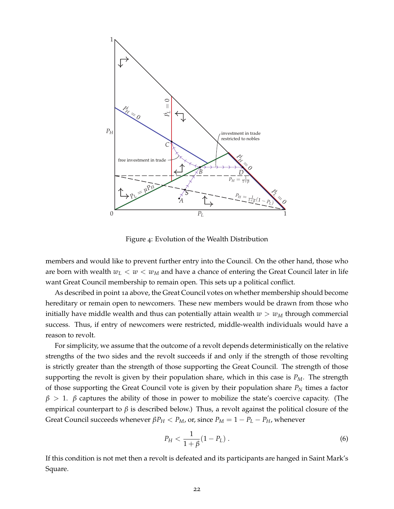

<span id="page-23-0"></span>Figure 4: Evolution of the Wealth Distribution

members and would like to prevent further entry into the Council. On the other hand, those who are born with wealth  $w_L < w < w_M$  and have a chance of entering the Great Council later in life want Great Council membership to remain open. This sets up a political conflict.

As described in point 1[a](#page-17-0) above, the Great Council votes on whether membership should become hereditary or remain open to newcomers. These new members would be drawn from those who initially have middle wealth and thus can potentially attain wealth  $w > w<sub>M</sub>$  through commercial success. Thus, if entry of newcomers were restricted, middle-wealth individuals would have a reason to revolt.

For simplicity, we assume that the outcome of a revolt depends deterministically on the relative strengths of the two sides and the revolt succeeds if and only if the strength of those revolting is strictly greater than the strength of those supporting the Great Council. The strength of those supporting the revolt is given by their population share, which in this case is *PM*. The strength of those supporting the Great Council vote is given by their population share *P<sup>N</sup>* times a factor *β* > 1. *β* captures the ability of those in power to mobilize the state's coercive capacity. (The empirical counterpart to *β* is described below.) Thus, a revolt against the political closure of the Great Council succeeds whenever  $\beta P_H < P_M$ , or, since  $P_M = 1 - P_L - P_H$ , whenever

$$
P_H < \frac{1}{1+\beta}(1-P_L) \,. \tag{6}
$$

If this condition is not met then a revolt is defeated and its participants are hanged in Saint Mark's Square.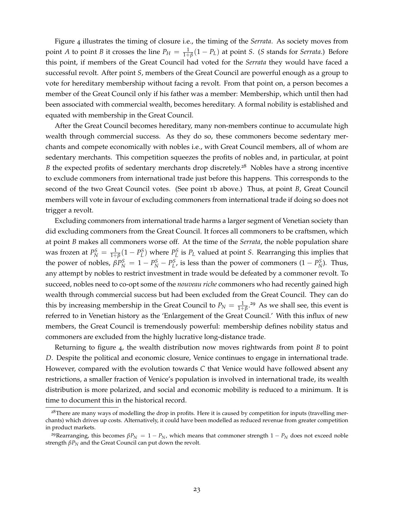Figure [4](#page-23-0) illustrates the timing of closure i.e., the timing of the *Serrata*. As society moves from point *A* to point *B* it crosses the line  $P_H = \frac{1}{1+\beta}(1 - P_L)$  at point *S*. (*S* stands for *Serrata*.) Before this point, if members of the Great Council had voted for the *Serrata* they would have faced a successful revolt. After point *S*, members of the Great Council are powerful enough as a group to vote for hereditary membership without facing a revolt. From that point on, a person becomes a member of the Great Council only if his father was a member: Membership, which until then had been associated with commercial wealth, becomes hereditary. A formal nobility is established and equated with membership in the Great Council.

After the Great Council becomes hereditary, many non-members continue to accumulate high wealth through commercial success. As they do so, these commoners become sedentary merchants and compete economically with nobles i.e., with Great Council members, all of whom are sedentary merchants. This competition squeezes the profits of nobles and, in particular, at point *B* the expected profits of sedentary merchants drop discretely.<sup>[28](#page-24-0)</sup> Nobles have a strong incentive to exclude commoners from international trade just before this happens. This corresponds to the second of the two Great Council votes. (See point 1[b](#page-17-3) above.) Thus, at point *B*, Great Council members will vote in favour of excluding commoners from international trade if doing so does not trigger a revolt.

Excluding commoners from international trade harms a larger segment of Venetian society than did excluding commoners from the Great Council. It forces all commoners to be craftsmen, which at point *B* makes all commoners worse off. At the time of the *Serrata*, the noble population share was frozen at  $P_N^S = \frac{1}{1+\beta}(1-P_L^S)$  where  $P_L^S$  is  $P_L$  valued at point *S*. Rearranging this implies that the power of nobles,  $\beta P_N^S = 1 - P_N^S - P_L^S$ , is less than the power of commoners  $(1 - P_N^S)$ . Thus, any attempt by nobles to restrict investment in trade would be defeated by a commoner revolt. To succeed, nobles need to co-opt some of the *nouveau riche* commoners who had recently gained high wealth through commercial success but had been excluded from the Great Council. They can do this by increasing membership in the Great Council to  $P_N = \frac{1}{1+\beta}$ .<sup>[29](#page-24-1)</sup> As we shall see, this event is referred to in Venetian history as the 'Enlargement of the Great Council.' With this influx of new members, the Great Council is tremendously powerful: membership defines nobility status and commoners are excluded from the highly lucrative long-distance trade.

Returning to figure [4](#page-23-0), the wealth distribution now moves rightwards from point *B* to point *D*. Despite the political and economic closure, Venice continues to engage in international trade. However, compared with the evolution towards *C* that Venice would have followed absent any restrictions, a smaller fraction of Venice's population is involved in international trade, its wealth distribution is more polarized, and social and economic mobility is reduced to a minimum. It is time to document this in the historical record.

<span id="page-24-0"></span><sup>&</sup>lt;sup>28</sup>There are many ways of modelling the drop in profits. Here it is caused by competition for inputs (travelling merchants) which drives up costs. Alternatively, it could have been modelled as reduced revenue from greater competition in product markets.

<span id="page-24-1"></span><sup>&</sup>lt;sup>29</sup>Rearranging, this becomes  $\beta P_N = 1 - P_N$ , which means that commoner strength  $1 - P_N$  does not exceed noble strength *βP<sup>N</sup>* and the Great Council can put down the revolt.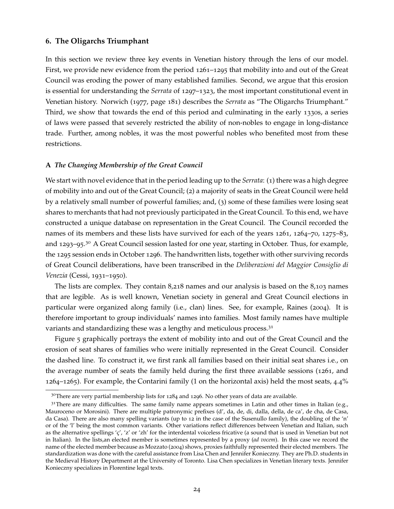### <span id="page-25-0"></span>**6. The Oligarchs Triumphant**

In this section we review three key events in Venetian history through the lens of our model. First, we provide new evidence from the period 1261–1295 that mobility into and out of the Great Council was eroding the power of many established families. Second, we argue that this erosion is essential for understanding the *Serrata* of 1297–1323, the most important constitutional event in Venetian history. [Norwich](#page-40-1) ([1977](#page-40-1), page 181) describes the *Serrata* as "The Oligarchs Triumphant." Third, we show that towards the end of this period and culminating in the early 1330s, a series of laws were passed that severely restricted the ability of non-nobles to engage in long-distance trade. Further, among nobles, it was the most powerful nobles who benefited most from these restrictions.

#### **A** *The Changing Membership of the Great Council*

We start with novel evidence that in the period leading up to the *Serrata*: (1) there was a high degree of mobility into and out of the Great Council; (2) a majority of seats in the Great Council were held by a relatively small number of powerful families; and, (3) some of these families were losing seat shares to merchants that had not previously participated in the Great Council. To this end, we have constructed a unique database on representation in the Great Council. The Council recorded the names of its members and these lists have survived for each of the years 1261, 1264–70, 1275–83, and 1293–95.<sup>[30](#page-25-1)</sup> A Great Council session lasted for one year, starting in October. Thus, for example, the 1295 session ends in October 1296. The handwritten lists, together with other surviving records of Great Council deliberations, have been transcribed in the *Deliberazioni del Maggior Consiglio di Venezia* [\(Cessi,](#page-37-14) [1931](#page-37-14)–1950).

The lists are complex. They contain 8,218 names and our analysis is based on the 8,103 names that are legible. As is well known, Venetian society in general and Great Council elections in particular were organized along family (i.e., clan) lines. See, for example, [Raines](#page-40-14) ([2004](#page-40-14)). It is therefore important to group individuals' names into families. Most family names have multiple variants and standardizing these was a lengthy and meticulous process.<sup>[31](#page-25-2)</sup>

Figure [5](#page-26-0) graphically portrays the extent of mobility into and out of the Great Council and the erosion of seat shares of families who were initially represented in the Great Council. Consider the dashed line. To construct it, we first rank all families based on their initial seat shares i.e., on the average number of seats the family held during the first three available sessions (1261, and 1264–1265). For example, the Contarini family (1 on the horizontal axis) held the most seats,  $4.4\%$ 

<span id="page-25-2"></span><span id="page-25-1"></span> $30$ There are very partial membership lists for 1284 and 1296. No other years of data are available.

 $31$ There are many difficulties. The same family name appears sometimes in Latin and other times in Italian (e.g., Mauroceno or Morosini). There are multiple patronymic prefixes (d', da, de, di, dalla, della, de ca', de cha, de Casa, da Casa). There are also many spelling variants (up to 12 in the case of the Susenullo family), the doubling of the 'n' or of the 'l' being the most common variants. Other variations reflect differences between Venetian and Italian, such as the alternative spellings 'ç', 'z' or 'zh' for the interdental voiceless fricative (a sound that is used in Venetian but not in Italian). In the lists,an elected member is sometimes represented by a proxy (*ad vocem*). In this case we record the name of the elected member because as [Mozzato](#page-39-13) ([2004](#page-39-13)) shows, proxies faithfully represented their elected members. The standardization was done with the careful assistance from Lisa Chen and Jennifer Konieczny. They are Ph.D. students in the Medieval History Department at the University of Toronto. Lisa Chen specializes in Venetian literary texts. Jennifer Konieczny specializes in Florentine legal texts.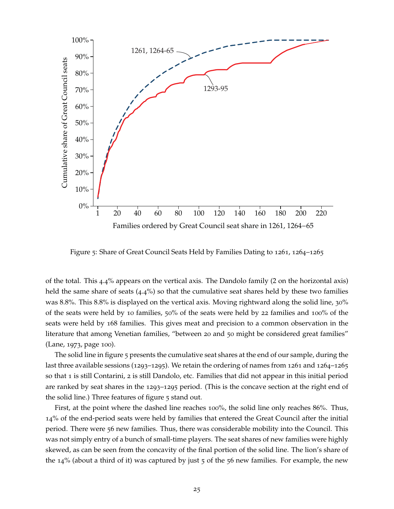

<span id="page-26-0"></span>Figure 5: Share of Great Council Seats Held by Families Dating to 1261, 1264–1265

of the total. This 4.4% appears on the vertical axis. The Dandolo family (2 on the horizontal axis) held the same share of seats  $(4.4%)$  so that the cumulative seat shares held by these two families was 8.8%. This 8.8% is displayed on the vertical axis. Moving rightward along the solid line, 30% of the seats were held by 10 families, 50% of the seats were held by 22 families and 100% of the seats were held by 168 families. This gives meat and precision to a common observation in the literature that among Venetian families, "between 20 and 50 might be considered great families" [\(Lane,](#page-39-7) [1973](#page-39-7), page 100).

The solid line in figure [5](#page-26-0) presents the cumulative seat shares at the end of our sample, during the last three available sessions (1293–1295). We retain the ordering of names from 1261 and 1264–1265 so that 1 is still Contarini, 2 is still Dandolo, etc. Families that did not appear in this initial period are ranked by seat shares in the 1293–1295 period. (This is the concave section at the right end of the solid line.) Three features of figure [5](#page-26-0) stand out.

First, at the point where the dashed line reaches 100%, the solid line only reaches 86%. Thus, 14% of the end-period seats were held by families that entered the Great Council after the initial period. There were 56 new families. Thus, there was considerable mobility into the Council. This was not simply entry of a bunch of small-time players. The seat shares of new families were highly skewed, as can be seen from the concavity of the final portion of the solid line. The lion's share of the 14% (about a third of it) was captured by just 5 of the 56 new families. For example, the new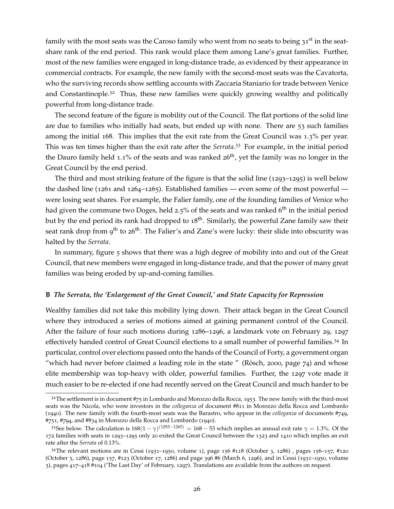family with the most seats was the Caroso family who went from no seats to being  $31^{st}$  in the seatshare rank of the end period. This rank would place them among Lane's great families. Further, most of the new families were engaged in long-distance trade, as evidenced by their appearance in commercial contracts. For example, the new family with the second-most seats was the Cavatorta, who the surviving records show settling accounts with Zaccaria Staniario for trade between Venice and Constantinople.<sup>[32](#page-27-0)</sup> Thus, these new families were quickly growing wealthy and politically powerful from long-distance trade.

The second feature of the figure is mobility out of the Council. The flat portions of the solid line are due to families who initially had seats, but ended up with none. There are 53 such families among the initial 168. This implies that the exit rate from the Great Council was 1.3% per year. This was ten times higher than the exit rate after the *Serrata*. [33](#page-27-1) For example, in the initial period the Dauro family held 1.1% of the seats and was ranked  $26<sup>th</sup>$ , yet the family was no longer in the Great Council by the end period.

The third and most striking feature of the figure is that the solid line  $(1293-1295)$  is well below the dashed line (1261 and 1264–1265). Established families — even some of the most powerful were losing seat shares. For example, the Falier family, one of the founding families of Venice who had given the commune two Doges, held 2.5% of the seats and was ranked  $6^{\text{th}}$  in the initial period but by the end period its rank had dropped to 18<sup>th</sup>. Similarly, the powerful Zane family saw their seat rank drop from 9<sup>th</sup> to 26<sup>th</sup>. The Falier's and Zane's were lucky: their slide into obscurity was halted by the *Serrata*.

In summary, figure [5](#page-26-0) shows that there was a high degree of mobility into and out of the Great Council, that new members were engaged in long-distance trade, and that the power of many great families was being eroded by up-and-coming families.

# **B** *The Serrata, the 'Enlargement of the Great Council,' and State Capacity for Repression*

Wealthy families did not take this mobility lying down. Their attack began in the Great Council where they introduced a series of motions aimed at gaining permanent control of the Council. After the failure of four such motions during 1286–1296, a landmark vote on February 29, 1297 effectively handed control of Great Council elections to a small number of powerful families.[34](#page-27-2) In particular, control over elections passed onto the hands of the Council of Forty, a government organ "which had never before claimed a leading role in the state " [\(Rösch,](#page-40-15) [2000](#page-40-15), page 74) and whose elite membership was top-heavy with older, powerful families. Further, the 1297 vote made it much easier to be re-elected if one had recently served on the Great Council and much harder to be

<span id="page-27-0"></span> $32$ The settlement is in document #75 in [Lombardo and Morozzo della Rocca,](#page-39-14) [1953](#page-39-14). The new family with the third-most seats was the Nicola, who were investors in the *colleganza* of document #811 in [Morozzo della Rocca and Lombardo](#page-39-12) ([1940](#page-39-12)). The new family with the fourth-most seats was the Barastro, who appear in the *colleganza* of documents #749, #751, #794, and #834 in [Morozzo della Rocca and Lombardo](#page-39-12) ([1940](#page-39-12)).

<span id="page-27-1"></span><sup>33</sup>See below. The calculation is  $168(1 - \gamma)^{(1293-1265)} = 168 - 53$  which implies an annual exit rate  $\gamma = 1.3$ %. Of the 172 families with seats in 1293–1295 only 20 exited the Great Council between the 1323 and 1410 which implies an exit rate after the *Serrata* of 0.13%.

<span id="page-27-2"></span><sup>34</sup>The relevant motions are in [Cessi](#page-37-14) ([1931](#page-37-14)–1950, volume 1), page 156 #118 (October 3, 1286) , pages 156–157, #120 (October 5, 1286), page 157, #123 (October 17, 1286) and page 396 #6 (March 6, 1296), and in [Cessi](#page-37-14) ([1931](#page-37-14)–1950, volume 3), pages 417–418 #104 ('The Last Day' of February, 1297). Translations are available from the authors on request.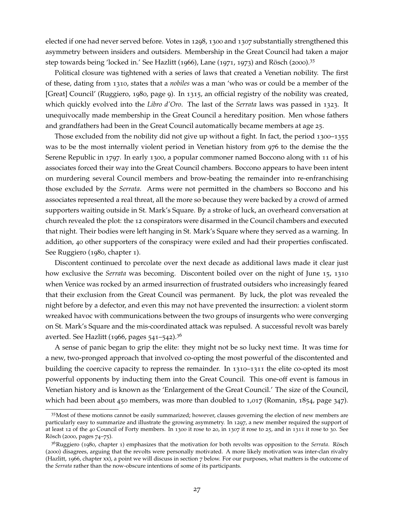elected if one had never served before. Votes in 1298, 1300 and 1307 substantially strengthened this asymmetry between insiders and outsiders. Membership in the Great Council had taken a major step towards being 'locked in.' See [Hazlitt](#page-38-13) ([1966](#page-38-13)), [Lane](#page-39-5) ([1971](#page-39-5), [1973](#page-39-7)) and [Rösch](#page-40-15) ([2000](#page-40-15)).[35](#page-28-0)

Political closure was tightened with a series of laws that created a Venetian nobility. The first of these, dating from 1310, states that a *nobiles* was a man 'who was or could be a member of the [Great] Council' [\(Ruggiero,](#page-40-12) [1980](#page-40-12), page 9). In 1315, an official registry of the nobility was created, which quickly evolved into the *Libro d'Oro*. The last of the *Serrata* laws was passed in 1323. It unequivocally made membership in the Great Council a hereditary position. Men whose fathers and grandfathers had been in the Great Council automatically became members at age 25.

Those excluded from the nobility did not give up without a fight. In fact, the period 1300–1355 was to be the most internally violent period in Venetian history from 976 to the demise the the Serene Republic in 1797. In early 1300, a popular commoner named Boccono along with 11 of his associates forced their way into the Great Council chambers. Boccono appears to have been intent on murdering several Council members and brow-beating the remainder into re-enfranchising those excluded by the *Serrata*. Arms were not permitted in the chambers so Boccono and his associates represented a real threat, all the more so because they were backed by a crowd of armed supporters waiting outside in St. Mark's Square. By a stroke of luck, an overheard conversation at church revealed the plot: the 12 conspirators were disarmed in the Council chambers and executed that night. Their bodies were left hanging in St. Mark's Square where they served as a warning. In addition, 40 other supporters of the conspiracy were exiled and had their properties confiscated. See [Ruggiero](#page-40-12) ([1980](#page-40-12), chapter 1).

Discontent continued to percolate over the next decade as additional laws made it clear just how exclusive the *Serrata* was becoming. Discontent boiled over on the night of June 15, 1310 when Venice was rocked by an armed insurrection of frustrated outsiders who increasingly feared that their exclusion from the Great Council was permanent. By luck, the plot was revealed the night before by a defector, and even this may not have prevented the insurrection: a violent storm wreaked havoc with communications between the two groups of insurgents who were converging on St. Mark's Square and the mis-coordinated attack was repulsed. A successful revolt was barely averted. See [Hazlitt](#page-38-13) ([1966](#page-38-13), pages  $541-542$ ).<sup>[36](#page-28-1)</sup>

A sense of panic began to grip the elite: they might not be so lucky next time. It was time for a new, two-pronged approach that involved co-opting the most powerful of the discontented and building the coercive capacity to repress the remainder. In 1310–1311 the elite co-opted its most powerful opponents by inducting them into the Great Council. This one-off event is famous in Venetian history and is known as the 'Enlargement of the Great Council.' The size of the Council, which had been about 450 members, was more than doubled to  $1,017$  [\(Romanin,](#page-40-16)  $1854$ , page 347).

<span id="page-28-0"></span><sup>&</sup>lt;sup>35</sup>Most of these motions cannot be easily summarized; however, clauses governing the election of new members are particularly easy to summarize and illustrate the growing asymmetry. In 1297, a new member required the support of at least 12 of the 40 Council of Forty members. In 1300 it rose to 20, in 1307 it rose to 25, and in 1311 it rose to 30. See [Rösch](#page-40-15) ([2000](#page-40-15), pages 74–75).

<span id="page-28-1"></span><sup>36</sup>[Ruggiero](#page-40-12) ([1980](#page-40-12), chapter 1) emphasizes that the motivation for both revolts was opposition to the *Serrata*. [Rösch](#page-40-15) ([2000](#page-40-15)) disagrees, arguing that the revolts were personally motivated. A more likely motivation was inter-clan rivalry [\(Hazlitt,](#page-38-13) [1966](#page-38-13), chapter xx), a point we will discuss in section [7](#page-33-0) below. For our purposes, what matters is the outcome of the *Serrata* rather than the now-obscure intentions of some of its participants.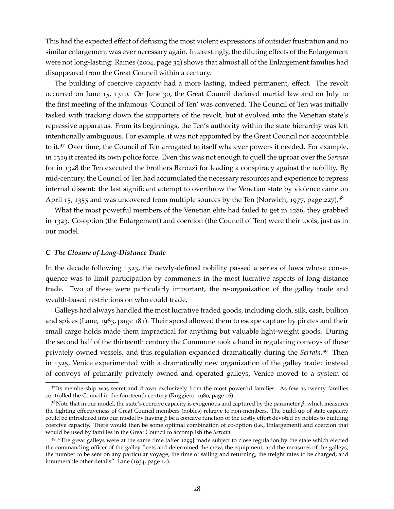This had the expected effect of defusing the most violent expressions of outsider frustration and no similar enlargement was ever necessary again. Interestingly, the diluting effects of the Enlargement were not long-lasting: [Raines](#page-40-14) ([2004](#page-40-14), page 32) shows that almost all of the Enlargement families had disappeared from the Great Council within a century.

The building of coercive capacity had a more lasting, indeed permanent, effect. The revolt occurred on June 15, 1310. On June 30, the Great Council declared martial law and on July 10 the first meeting of the infamous 'Council of Ten' was convened. The Council of Ten was initially tasked with tracking down the supporters of the revolt, but it evolved into the Venetian state's repressive apparatus. From its beginnings, the Ten's authority within the state hierarchy was left intentionally ambiguous. For example, it was not appointed by the Great Council nor accountable to it.[37](#page-29-0) Over time, the Council of Ten arrogated to itself whatever powers it needed. For example, in 1319 it created its own police force. Even this was not enough to quell the uproar over the *Serrata* for in 1328 the Ten executed the brothers Barozzi for leading a conspiracy against the nobility. By mid-century, the Council of Ten had accumulated the necessary resources and experience to repress internal dissent: the last significant attempt to overthrow the Venetian state by violence came on April 15, 1355 and was uncovered from multiple sources by the Ten [\(Norwich,](#page-40-1) [1977](#page-40-1), page 227).<sup>[38](#page-29-1)</sup>

What the most powerful members of the Venetian elite had failed to get in 1286, they grabbed in 1323. Co-option (the Enlargement) and coercion (the Council of Ten) were their tools, just as in our model.

#### **C** *The Closure of Long-Distance Trade*

In the decade following 1323, the newly-defined nobility passed a series of laws whose consequence was to limit participation by commoners in the most lucrative aspects of long-distance trade. Two of these were particularly important, the re-organization of the galley trade and wealth-based restrictions on who could trade.

Galleys had always handled the most lucrative traded goods, including cloth, silk, cash, bullion and spices [\(Lane,](#page-39-15) [1963](#page-39-15), page 181). Their speed allowed them to escape capture by pirates and their small cargo holds made them impractical for anything but valuable light-weight goods. During the second half of the thirteenth century the Commune took a hand in regulating convoys of these privately owned vessels, and this regulation expanded dramatically during the *Serrata*. [39](#page-29-2) Then in 1325, Venice experimented with a dramatically new organization of the galley trade: instead of convoys of primarily privately owned and operated galleys, Venice moved to a system of

<span id="page-29-0"></span><sup>37</sup>Its membership was secret and drawn exclusively from the most powerful families. As few as twenty families controlled the Council in the fourteenth century [\(Ruggiero,](#page-40-12) [1980](#page-40-12), page 16).

<span id="page-29-1"></span><sup>38</sup>Note that in our model, the state's coercive capacity is exogenous and captured by the parameter *β*, which measures the fighting effectiveness of Great Council members (nobles) relative to non-members. The build-up of state capacity could be introduced into our model by having *β* be a concave function of the costly effort devoted by nobles to building coercive capacity. There would then be some optimal combination of co-option (i.e., Enlargement) and coercion that would be used by families in the Great Council to accomplish the *Serrata*.

<span id="page-29-2"></span><sup>39</sup> "The great galleys were at the same time [after 1299] made subject to close regulation by the state which elected the commanding officer of the galley fleets and determined the crew, the equipment, and the measures of the galleys, the number to be sent on any particular voyage, the time of sailing and returning, the freight rates to be charged, and innumerable other details" [Lane](#page-39-16) ([1934](#page-39-16), page 14).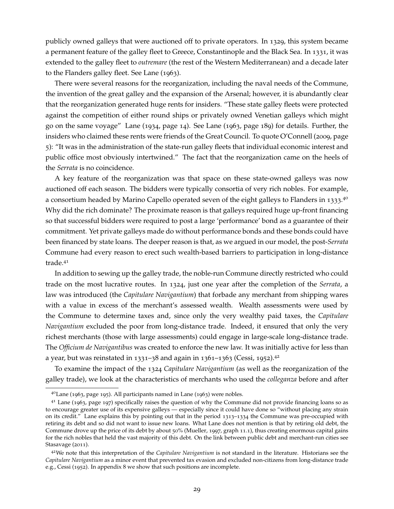publicly owned galleys that were auctioned off to private operators. In 1329, this system became a permanent feature of the galley fleet to Greece, Constantinople and the Black Sea. In 1331, it was extended to the galley fleet to *outremare* (the rest of the Western Mediterranean) and a decade later to the Flanders galley fleet. See [Lane](#page-39-15) ([1963](#page-39-15)).

There were several reasons for the reorganization, including the naval needs of the Commune, the invention of the great galley and the expansion of the Arsenal; however, it is abundantly clear that the reorganization generated huge rents for insiders. "These state galley fleets were protected against the competition of either round ships or privately owned Venetian galleys which might go on the same voyage" [Lane](#page-39-16) ([1934](#page-39-16), page 14). See [Lane](#page-39-15) ([1963](#page-39-15), page 189) for details. Further, the insiders who claimed these rents were friends of the Great Council. To quote [O'Connell](#page-40-6) ([2009](#page-40-6), page 5): "It was in the administration of the state-run galley fleets that individual economic interest and public office most obviously intertwined." The fact that the reorganization came on the heels of the *Serrata* is no coincidence.

A key feature of the reorganization was that space on these state-owned galleys was now auctioned off each season. The bidders were typically consortia of very rich nobles. For example, a consortium headed by Marino Capello operated seven of the eight galleys to Flanders in 1333.<sup>[40](#page-30-0)</sup> Why did the rich dominate? The proximate reason is that galleys required huge up-front financing so that successful bidders were required to post a large 'performance' bond as a guarantee of their commitment. Yet private galleys made do without performance bonds and these bonds could have been financed by state loans. The deeper reason is that, as we argued in our model, the post-*Serrata* Commune had every reason to erect such wealth-based barriers to participation in long-distance trade.[41](#page-30-1)

In addition to sewing up the galley trade, the noble-run Commune directly restricted who could trade on the most lucrative routes. In 1324, just one year after the completion of the *Serrata*, a law was introduced (the *Capitulare Navigantium*) that forbade any merchant from shipping wares with a value in excess of the merchant's assessed wealth. Wealth assessments were used by the Commune to determine taxes and, since only the very wealthy paid taxes, the *Capitulare Navigantium* excluded the poor from long-distance trade. Indeed, it ensured that only the very richest merchants (those with large assessments) could engage in large-scale long-distance trade. The *Officium de Navigantibus* was created to enforce the new law. It was initially active for less than a year, but was reinstated in 1331–38 and again in 1361–1363 [\(Cessi,](#page-37-15) [1952](#page-37-15)).<sup>[42](#page-30-2)</sup>

To examine the impact of the 1324 *Capitulare Navigantium* (as well as the reorganization of the galley trade), we look at the characteristics of merchants who used the *colleganza* before and after

<span id="page-30-1"></span><span id="page-30-0"></span><sup>40</sup>[Lane](#page-39-15) ([1963](#page-39-15), page 195). All participants named in [Lane](#page-39-15) ([1963](#page-39-15)) were nobles.

 $41$  [Lane](#page-39-15) ([1963](#page-39-15), page 197) specifically raises the question of why the Commune did not provide financing loans so as to encourage greater use of its expensive galleys — especially since it could have done so "without placing any strain on its credit." Lane explains this by pointing out that in the period 1313–1334 the Commune was pre-occupied with retiring its debt and so did not want to issue new loans. What Lane does not mention is that by retiring old debt, the Commune drove up the price of its debt by about 50% [\(Mueller,](#page-39-10) [1997](#page-39-10), graph 11.1), thus creating enormous capital gains for the rich nobles that held the vast majority of this debt. On the link between public debt and merchant-run cities see [Stasavage](#page-41-2) ([2011](#page-41-2)).

<span id="page-30-2"></span><sup>42</sup>We note that this interpretation of the *Capitulare Navigantium* is not standard in the literature. Historians see the *Capitulare Navigantium* as a minor event that prevented tax evasion and excluded non-citizens from long-distance trade e.g., [Cessi](#page-37-15) ([1952](#page-37-15)). In appendix [8](#page-41-3) we show that such positions are incomplete.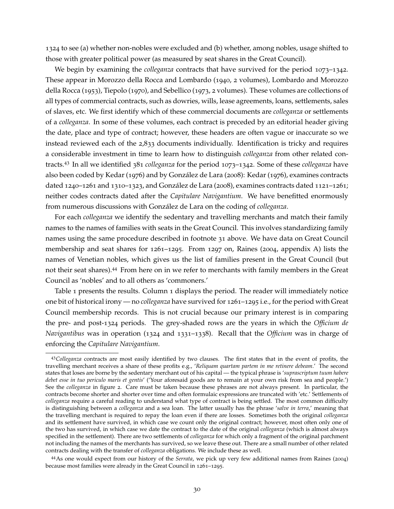1324 to see (a) whether non-nobles were excluded and (b) whether, among nobles, usage shifted to those with greater political power (as measured by seat shares in the Great Council).

We begin by examining the *colleganza* contracts that have survived for the period 1073–1342. These appear in [Morozzo della Rocca and Lombardo](#page-39-12) ([1940](#page-39-12), 2 volumes), [Lombardo and Morozzo](#page-39-14) [della Rocca](#page-39-14) ([1953](#page-39-14)), [Tiepolo](#page-41-4) ([1970](#page-41-4)), and [Sebellico](#page-40-17) ([1973](#page-40-17), 2 volumes). These volumes are collections of all types of commercial contracts, such as dowries, wills, lease agreements, loans, settlements, sales of slaves, etc. We first identify which of these commercial documents are *colleganza* or settlements of a *colleganza*. In some of these volumes, each contract is preceded by an editorial header giving the date, place and type of contract; however, these headers are often vague or inaccurate so we instead reviewed each of the 2,833 documents individually. Identification is tricky and requires a considerable investment in time to learn how to distinguish *colleganza* from other related contracts.[43](#page-31-0) In all we identified 381 *colleganza* for the period 1073–1342. Some of these *colleganza* have also been coded by [Kedar](#page-38-11) ([1976](#page-38-11)) and by [González de Lara](#page-38-5) ([2008](#page-38-5)): [Kedar](#page-38-11) ([1976](#page-38-11)), examines contracts dated 1240–1261 and 1310–1323, and [González de Lara](#page-38-5) ([2008](#page-38-5)), examines contracts dated 1121–1261; neither codes contracts dated after the *Capitulare Navigantium*. We have benefitted enormously from numerous discussions with [González de Lara](#page-38-5) on the coding of *colleganza*.

For each *colleganza* we identify the sedentary and travelling merchants and match their family names to the names of families with seats in the Great Council. This involves standardizing family names using the same procedure described in footnote [31](#page-25-2) above. We have data on Great Council membership and seat shares for 1261–1295. From 1297 on, [Raines](#page-40-14) ([2004](#page-40-14), appendix A) lists the names of Venetian nobles, which gives us the list of families present in the Great Council (but not their seat shares).[44](#page-31-1) From here on in we refer to merchants with family members in the Great Council as 'nobles' and to all others as 'commoners.'

Table [1](#page-32-0) presents the results. Column 1 displays the period. The reader will immediately notice one bit of historical irony — no *colleganza* have survived for 1261–1295 i.e., for the period with Great Council membership records. This is not crucial because our primary interest is in comparing the pre- and post-1324 periods. The grey-shaded rows are the years in which the *Officium de Navigantibus* was in operation (1324 and 1331–1338). Recall that the *Officium* was in charge of enforcing the *Capitulare Navigantium*.

<span id="page-31-0"></span><sup>43</sup>*Colleganza* contracts are most easily identified by two clauses. The first states that in the event of profits, the travelling merchant receives a share of these profits e.g., '*Reliquam quartam partem in me retinere debeam*.' The second states that loses are borne by the sedentary merchant out of his capital — the typical phrase is '*suprascriptum tuum habere debet esse in tuo periculo maris et gentis*' ('Your aforesaid goods are to remain at your own risk from sea and people.') See the *colleganza* in figure [2](#page-14-0). Care must be taken because these phrases are not always present. In particular, the contracts become shorter and shorter over time and often formulaic expressions are truncated with 'etc.' Settlements of *colleganza* require a careful reading to understand what type of contract is being settled. The most common difficulty is distinguishing between a *colleganza* and a sea loan. The latter usually has the phrase '*salve in terra*,' meaning that the travelling merchant is required to repay the loan even if there are losses. Sometimes both the original *colleganza* and its settlement have survived, in which case we count only the original contract; however, most often only one of the two has survived, in which case we date the contract to the date of the original *colleganza* (which is almost always specified in the settlement). There are two settlements of *colleganza* for which only a fragment of the original parchment not including the names of the merchants has survived, so we leave these out. There are a small number of other related contracts dealing with the transfer of *colleganza* obligations. We include these as well.

<span id="page-31-1"></span><sup>44</sup>As one would expect from our history of the *Serrata*, we pick up very few additional names from [Raines](#page-40-14) ([2004](#page-40-14)) because most families were already in the Great Council in 1261–1295.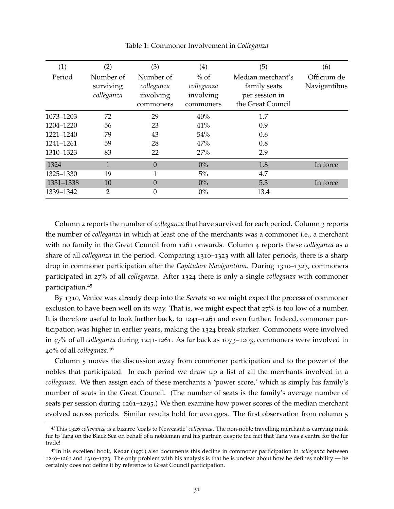| (1)       | (2)        | (3)        | (4)        | (5)               | (6)          |
|-----------|------------|------------|------------|-------------------|--------------|
| Period    | Number of  | Number of  | $%$ of     | Median merchant's | Officium de  |
|           | surviving  | colleganza | colleganza | family seats      | Navigantibus |
|           | colleganza | involving  | involving  | per session in    |              |
|           |            | commoners  | commoners  | the Great Council |              |
| 1073-1203 | 72         | 29         | 40%        | 1.7               |              |
| 1204-1220 | 56         | 23         | 41%        | 0.9               |              |
| 1221-1240 | 79         | 43         | 54%        | 0.6               |              |
| 1241-1261 | 59         | 28         | 47%        | 0.8               |              |
| 1310-1323 | 83         | 22         | 27%        | 2.9               |              |
| 1324      | 1          | $\Omega$   | $0\%$      | 1.8               | In force     |
| 1325-1330 | 19         |            | 5%         | 4.7               |              |
| 1331-1338 | 10         | $\Omega$   | $0\%$      | 5.3               | In force     |
| 1339–1342 | 2          | 0          | $0\%$      | 13.4              |              |

<span id="page-32-0"></span>Table 1: Commoner Involvement in *Colleganza*

Column 2 reports the number of *colleganza* that have survived for each period. Column 3 reports the number of *colleganza* in which at least one of the merchants was a commoner i.e., a merchant with no family in the Great Council from 1261 onwards. Column 4 reports these *colleganza* as a share of all *colleganza* in the period. Comparing 1310–1323 with all later periods, there is a sharp drop in commoner participation after the *Capitulare Navigantium*. During 1310–1323, commoners participated in 27% of all *colleganza*. After 1324 there is only a single *colleganza* with commoner participation.[45](#page-32-1)

By 1310, Venice was already deep into the *Serrata* so we might expect the process of commoner exclusion to have been well on its way. That is, we might expect that 27% is too low of a number. It is therefore useful to look further back, to 1241–1261 and even further. Indeed, commoner participation was higher in earlier years, making the 1324 break starker. Commoners were involved in 47% of all *colleganza* during 1241-1261. As far back as 1073–1203, commoners were involved in 40% of all *colleganza*. [46](#page-32-2)

Column 5 moves the discussion away from commoner participation and to the power of the nobles that participated. In each period we draw up a list of all the merchants involved in a *colleganza*. We then assign each of these merchants a 'power score,' which is simply his family's number of seats in the Great Council. (The number of seats is the family's average number of seats per session during 1261–1295.) We then examine how power scores of the median merchant evolved across periods. Similar results hold for averages. The first observation from column 5

<span id="page-32-1"></span><sup>45</sup>This 1326 *colleganza* is a bizarre 'coals to Newcastle' *colleganza*. The non-noble travelling merchant is carrying mink fur to Tana on the Black Sea on behalf of a nobleman and his partner, despite the fact that Tana was a centre for the fur trade!

<span id="page-32-2"></span><sup>46</sup>In his excellent book, [Kedar](#page-38-11) ([1976](#page-38-11)) also documents this decline in commoner participation in *colleganza* between 1240–1261 and 1310–1323. The only problem with his analysis is that he is unclear about how he defines nobility — he certainly does not define it by reference to Great Council participation.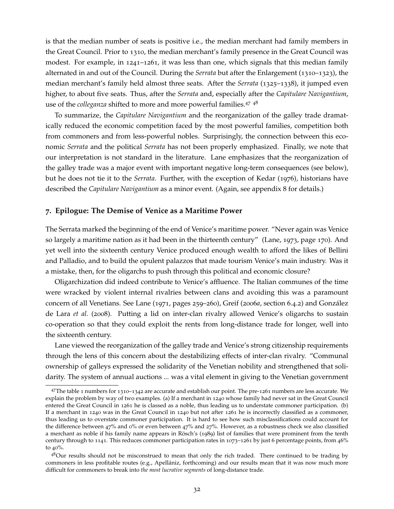is that the median number of seats is positive i.e., the median merchant had family members in the Great Council. Prior to 1310, the median merchant's family presence in the Great Council was modest. For example, in 1241–1261, it was less than one, which signals that this median family alternated in and out of the Council. During the *Serrata* but after the Enlargement (1310–1323), the median merchant's family held almost three seats. After the *Serrata* (1325–1338), it jumped even higher, to about five seats. Thus, after the *Serrata* and, especially after the *Capitulare Navigantium*, use of the *colleganza* shifted to more and more powerful families.[47](#page-33-1) [48](#page-33-2)

To summarize, the *Capitulare Navigantium* and the reorganization of the galley trade dramatically reduced the economic competition faced by the most powerful families, competition both from commoners and from less-powerful nobles. Surprisingly, the connection between this economic *Serrata* and the political *Serrata* has not been properly emphasized. Finally, we note that our interpretation is not standard in the literature. Lane emphasizes that the reorganization of the galley trade was a major event with important negative long-term consequences (see below), but he does not tie it to the *Serrata*. Further, with the exception of [Kedar](#page-38-11) ([1976](#page-38-11)), historians have described the *Capitulare Navigantium* as a minor event. (Again, see appendix [8](#page-41-3) for details.)

## <span id="page-33-0"></span>**7. Epilogue: The Demise of Venice as a Maritime Power**

The Serrata marked the beginning of the end of Venice's maritime power. "Never again was Venice so largely a maritime nation as it had been in the thirteenth century" [\(Lane,](#page-39-7) [1973](#page-39-7), page 170). And yet well into the sixteenth century Venice produced enough wealth to afford the likes of Bellini and Palladio, and to build the opulent palazzos that made tourism Venice's main industry. Was it a mistake, then, for the oligarchs to push through this political and economic closure?

Oligarchization did indeed contribute to Venice's affluence. The Italian communes of the time were wracked by violent internal rivalries between clans and avoiding this was a paramount concern of all Venetians. See [Lane](#page-39-5) ([1971](#page-39-5), pages 259–260), [Greif](#page-38-0) ([2006](#page-38-0)*a*, section 6.4.2) and [González](#page-38-9) [de Lara](#page-38-9) *et al.* ([2008](#page-38-9)). Putting a lid on inter-clan rivalry allowed Venice's oligarchs to sustain co-operation so that they could exploit the rents from long-distance trade for longer, well into the sixteenth century.

Lane viewed the reorganization of the galley trade and Venice's strong citizenship requirements through the lens of this concern about the destabilizing effects of inter-clan rivalry. "Communal ownership of galleys expressed the solidarity of the Venetian nobility and strengthened that solidarity. The system of annual auctions ... was a vital element in giving to the Venetian government

<span id="page-33-1"></span><sup>47</sup>The table [1](#page-32-0) numbers for 1310–1342 are accurate and establish our point. The pre-1261 numbers are less accurate. We explain the problem by way of two examples. (a) If a merchant in 1240 whose family had never sat in the Great Council entered the Great Council in 1261 he is classed as a noble, thus leading us to understate commoner participation. (b) If a merchant in 1240 was in the Great Council in 1240 but not after 1261 he is incorrectly classified as a commoner, thus leading us to overstate commoner participation. It is hard to see how such misclassifications could account for the difference between  $47\%$  and 0% or even between  $47\%$  and  $27\%$ . However, as a robustness check we also classified a merchant as noble if his family name appears in [Rösch'](#page-40-5)s ([1989](#page-40-5)) list of families that were prominent from the tenth century through to 1141. This reduces commoner participation rates in 1073–1261 by just 6 percentage points, from 46% to 40%.

<span id="page-33-2"></span><sup>48</sup>Our results should not be misconstrued to mean that only the rich traded. There continued to be trading by commoners in less profitable routes (e.g., [Apellániz, forthcoming\)](#page-36-10) and our results mean that it was now much more difficult for commoners to break into *the most lucrative segments* of long-distance trade.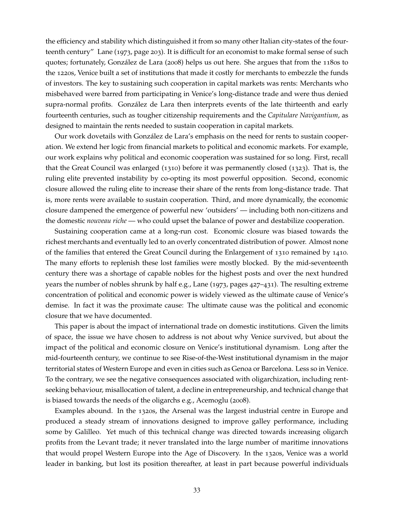the efficiency and stability which distinguished it from so many other Italian city-states of the fourteenth century" [Lane](#page-39-7) ([1973](#page-39-7), page 203). It is difficult for an economist to make formal sense of such quotes; fortunately, [González de Lara](#page-38-5) ([2008](#page-38-5)) helps us out here. She argues that from the 1180s to the 1220s, Venice built a set of institutions that made it costly for merchants to embezzle the funds of investors. The key to sustaining such cooperation in capital markets was rents: Merchants who misbehaved were barred from participating in Venice's long-distance trade and were thus denied supra-normal profits. [González de Lara](#page-38-5) then interprets events of the late thirteenth and early fourteenth centuries, such as tougher citizenship requirements and the *Capitulare Navigantium*, as designed to maintain the rents needed to sustain cooperation in capital markets.

Our work dovetails with [González de Lara'](#page-38-5)s emphasis on the need for rents to sustain cooperation. We extend her logic from financial markets to political and economic markets. For example, our work explains why political and economic cooperation was sustained for so long. First, recall that the Great Council was enlarged (1310) before it was permanently closed (1323). That is, the ruling elite prevented instability by co-opting its most powerful opposition. Second, economic closure allowed the ruling elite to increase their share of the rents from long-distance trade. That is, more rents were available to sustain cooperation. Third, and more dynamically, the economic closure dampened the emergence of powerful new 'outsiders' — including both non-citizens and the domestic *nouveau riche* — who could upset the balance of power and destabilize cooperation.

Sustaining cooperation came at a long-run cost. Economic closure was biased towards the richest merchants and eventually led to an overly concentrated distribution of power. Almost none of the families that entered the Great Council during the Enlargement of 1310 remained by 1410. The many efforts to replenish these lost families were mostly blocked. By the mid-seventeenth century there was a shortage of capable nobles for the highest posts and over the next hundred years the number of nobles shrunk by half e.g., [Lane](#page-39-7) ([1973](#page-39-7), pages 427–431). The resulting extreme concentration of political and economic power is widely viewed as the ultimate cause of Venice's demise. In fact it was the proximate cause: The ultimate cause was the political and economic closure that we have documented.

This paper is about the impact of international trade on domestic institutions. Given the limits of space, the issue we have chosen to address is not about why Venice survived, but about the impact of the political and economic closure on Venice's institutional dynamism. Long after the mid-fourteenth century, we continue to see Rise-of-the-West institutional dynamism in the major territorial states of Western Europe and even in cities such as Genoa or Barcelona. Less so in Venice. To the contrary, we see the negative consequences associated with oligarchization, including rentseeking behaviour, misallocation of talent, a decline in entrepreneurship, and technical change that is biased towards the needs of the oligarchs e.g., [Acemoglu](#page-36-3) ([2008](#page-36-3)).

Examples abound. In the 1320s, the Arsenal was the largest industrial centre in Europe and produced a steady stream of innovations designed to improve galley performance, including some by Galilleo. Yet much of this technical change was directed towards increasing oligarch profits from the Levant trade; it never translated into the large number of maritime innovations that would propel Western Europe into the Age of Discovery. In the 1320s, Venice was a world leader in banking, but lost its position thereafter, at least in part because powerful individuals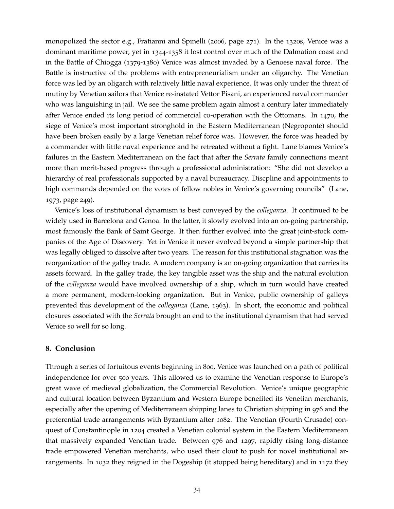monopolized the sector e.g., [Fratianni and Spinelli](#page-37-16) ([2006](#page-37-16), page 271). In the 1320s, Venice was a dominant maritime power, yet in 1344-1358 it lost control over much of the Dalmation coast and in the Battle of Chiogga (1379-1380) Venice was almost invaded by a Genoese naval force. The Battle is instructive of the problems with entrepreneurialism under an oligarchy. The Venetian force was led by an oligarch with relatively little naval experience. It was only under the threat of mutiny by Venetian sailors that Venice re-instated Vettor Pisani, an experienced naval commander who was languishing in jail. We see the same problem again almost a century later immediately after Venice ended its long period of commercial co-operation with the Ottomans. In 1470, the siege of Venice's most important stronghold in the Eastern Mediterranean (Negroponte) should have been broken easily by a large Venetian relief force was. However, the force was headed by a commander with little naval experience and he retreated without a fight. Lane blames Venice's failures in the Eastern Mediterranean on the fact that after the *Serrata* family connections meant more than merit-based progress through a professional administration: "She did not develop a hierarchy of real professionals supported by a naval bureaucracy. Discpline and appointments to high commands depended on the votes of fellow nobles in Venice's governing councils" [\(Lane,](#page-39-7) [1973](#page-39-7), page 249).

Venice's loss of institutional dynamism is best conveyed by the *colleganza*. It continued to be widely used in Barcelona and Genoa. In the latter, it slowly evolved into an on-going partnership, most famously the Bank of Saint George. It then further evolved into the great joint-stock companies of the Age of Discovery. Yet in Venice it never evolved beyond a simple partnership that was legally obliged to dissolve after two years. The reason for this institutional stagnation was the reorganization of the galley trade. A modern company is an on-going organization that carries its assets forward. In the galley trade, the key tangible asset was the ship and the natural evolution of the *colleganza* would have involved ownership of a ship, which in turn would have created a more permanent, modern-looking organization. But in Venice, public ownership of galleys prevented this development of the *colleganza* [\(Lane,](#page-39-15) [1963](#page-39-15)). In short, the economic and political closures associated with the *Serrata* brought an end to the institutional dynamism that had served Venice so well for so long.

# <span id="page-35-0"></span>**8. Conclusion**

Through a series of fortuitous events beginning in 800, Venice was launched on a path of political independence for over 500 years. This allowed us to examine the Venetian response to Europe's great wave of medieval globalization, the Commercial Revolution. Venice's unique geographic and cultural location between Byzantium and Western Europe benefited its Venetian merchants, especially after the opening of Mediterranean shipping lanes to Christian shipping in 976 and the preferential trade arrangements with Byzantium after 1082. The Venetian (Fourth Crusade) conquest of Constantinople in 1204 created a Venetian colonial system in the Eastern Mediterranean that massively expanded Venetian trade. Between 976 and 1297, rapidly rising long-distance trade empowered Venetian merchants, who used their clout to push for novel institutional arrangements. In 1032 they reigned in the Dogeship (it stopped being hereditary) and in 1172 they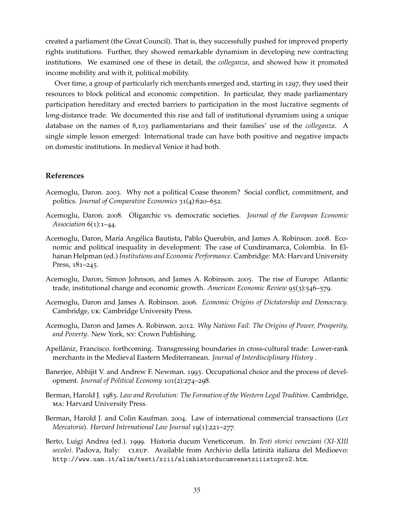created a parliament (the Great Council). That is, they successfully pushed for improved property rights institutions. Further, they showed remarkable dynamism in developing new contracting institutions. We examined one of these in detail, the *colleganza*, and showed how it promoted income mobility and with it, political mobility.

Over time, a group of particularly rich merchants emerged and, starting in 1297, they used their resources to block political and economic competition. In particular, they made parliamentary participation hereditary and erected barriers to participation in the most lucrative segments of long-distance trade. We documented this rise and fall of institutional dynamism using a unique database on the names of 8,103 parliamentarians and their families' use of the *colleganza*. A single simple lesson emerged: International trade can have both positive and negative impacts on domestic institutions. In medieval Venice it had both.

# **References**

- <span id="page-36-2"></span>Acemoglu, Daron. 2003. Why not a political Coase theorem? Social conflict, commitment, and politics. *Journal of Comparative Economics* 31(4):620–652.
- <span id="page-36-3"></span>Acemoglu, Daron. 2008. Oligarchic vs. democratic societies. *Journal of the European Economic Association* 6(1):1–44.
- <span id="page-36-4"></span>Acemoglu, Daron, María Angélica Bautista, Pablo Querubín, and James A. Robinson. 2008. Economic and political inequality in development: The case of Cundinamarca, Colombia. In Elhanan Helpman (ed.) *Institutions and Economic Performance*. Cambridge: MA: Harvard University Press, 181–245.
- <span id="page-36-0"></span>Acemoglu, Daron, Simon Johnson, and James A. Robinson. 2005. The rise of Europe: Atlantic trade, institutional change and economic growth. *American Economic Review* 95(3):546–579.
- <span id="page-36-5"></span>Acemoglu, Daron and James A. Robinson. 2006. *Economic Origins of Dictatorship and Democracy*. Cambridge, uk: Cambridge University Press.
- <span id="page-36-1"></span>Acemoglu, Daron and James A. Robinson. 2012. *Why Nations Fail: The Origins of Power, Prosperity, and Poverty*. New York, ny: Crown Publishing.
- <span id="page-36-10"></span>Apellániz, Francisco. forthcoming. Transgressing boundaries in cross-cultural trade: Lower-rank merchants in the Medieval Eastern Mediterranean. *Journal of Interdisciplinary History* .
- <span id="page-36-6"></span>Banerjee, Abhijit V. and Andrew F. Newman. 1993. Occupational choice and the process of development. *Journal of Political Economy* 101(2):274–298.
- <span id="page-36-8"></span>Berman, Harold J. 1983. *Law and Revolution: The Formation of the Western Legal Tradition*. Cambridge, ma: Harvard University Press.
- <span id="page-36-9"></span>Berman, Harold J. and Colin Kaufman. 2004. Law of international commercial transactions (*Lex Mercatoria*). *Harvard International Law Journal* 19(1):221–277.
- <span id="page-36-7"></span>Berto, Luigi Andrea (ed.). 1999. Historia ducum Veneticorum. In *Testi storici veneziani (XI-XIII secolo)*. Padova, Italy: cleup. Available from Archivio della latinità italiana del Medioevo: <http://www.uan.it/alim/testi/xiii/alimhistorducumvenetxiiistopro2.htm>.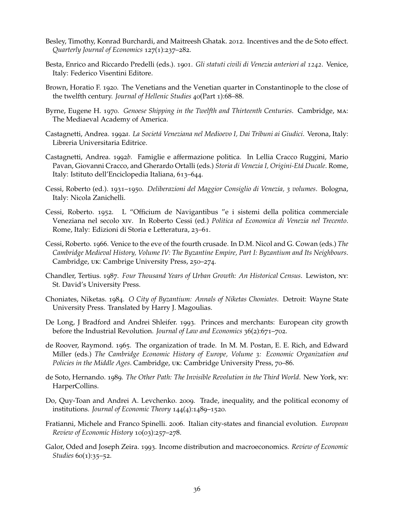- <span id="page-37-4"></span>Besley, Timothy, Konrad Burchardi, and Maitreesh Ghatak. 2012. Incentives and the de Soto effect. *Quarterly Journal of Economics* 127(1):237–282.
- <span id="page-37-12"></span>Besta, Enrico and Riccardo Predelli (eds.). 1901. *Gli statuti civili di Venezia anteriori al 1242*. Venice, Italy: Federico Visentini Editore.
- <span id="page-37-8"></span>Brown, Horatio F. 1920. The Venetians and the Venetian quarter in Constantinople to the close of the twelfth century. *Journal of Hellenic Studies* 40(Part 1):68–88.
- <span id="page-37-13"></span>Byrne, Eugene H. 1970. *Genoese Shipping in the Twelfth and Thirteenth Centuries*. Cambridge, ma: The Mediaeval Academy of America.
- <span id="page-37-10"></span>Castagnetti, Andrea. 1992*a*. *La Societá Veneziana nel Medioevo I, Dai Tribuni ai Giudici*. Verona, Italy: Libreria Universitaria Editrice.
- <span id="page-37-11"></span>Castagnetti, Andrea. 1992*b*. Famiglie e affermazione politica. In Lellia Cracco Ruggini, Mario Pavan, Giovanni Cracco, and Gherardo Ortalli (eds.) *Storia di Venezia I, Origini-Etá Ducale*. Rome, Italy: Istituto dell'Enciclopedia Italiana, 613–644.
- <span id="page-37-14"></span>Cessi, Roberto (ed.). 1931–1950. *Deliberazioni del Maggior Consiglio di Venezia, 3 volumes*. Bologna, Italy: Nicola Zanichelli.
- <span id="page-37-15"></span>Cessi, Roberto. 1952. L "Officium de Navigantibus "e i sistemi della politica commerciale Veneziana nel secolo xiv. In Roberto Cessi (ed.) *Politica ed Economica di Venezia nel Trecento*. Rome, Italy: Edizioni di Storia e Letteratura, 23–61.
- <span id="page-37-5"></span>Cessi, Roberto. 1966. Venice to the eve of the fourth crusade. In D.M. Nicol and G. Cowan (eds.) *The Cambridge Medieval History, Volume IV: The Byzantine Empire, Part I: Byzantium and Its Neighbours*. Cambridge, uk: Cambrige University Press, 250–274.
- <span id="page-37-7"></span>Chandler, Tertius. 1987. *Four Thousand Years of Urban Growth: An Historical Census*. Lewiston, ny: St. David's University Press.
- <span id="page-37-9"></span>Choniates, Niketas. 1984. *O City of Byzantium: Annals of Niketas Choniates*. Detroit: Wayne State University Press. Translated by Harry J. Magoulias.
- <span id="page-37-6"></span>De Long, J Bradford and Andrei Shleifer. 1993. Princes and merchants: European city growth before the Industrial Revolution. *Journal of Law and Economics* 36(2):671–702.
- <span id="page-37-0"></span>de Roover, Raymond. 1965. The organization of trade. In M. M. Postan, E. E. Rich, and Edward Miller (eds.) *The Cambridge Economic History of Europe, Volume 3: Economic Organization and Policies in the Middle Ages*. Cambridge, uk: Cambridge University Press, 70–86.
- <span id="page-37-3"></span>de Soto, Hernando. 1989. *The Other Path: The Invisible Revolution in the Third World*. New York, ny: HarperCollins.
- <span id="page-37-1"></span>Do, Quy-Toan and Andrei A. Levchenko. 2009. Trade, inequality, and the political economy of institutions. *Journal of Economic Theory* 144(4):1489–1520.
- <span id="page-37-16"></span>Fratianni, Michele and Franco Spinelli. 2006. Italian city-states and financial evolution. *European Review of Economic History* 10(03):257–278.
- <span id="page-37-2"></span>Galor, Oded and Joseph Zeira. 1993. Income distribution and macroeconomics. *Review of Economic Studies* 60(1):35–52.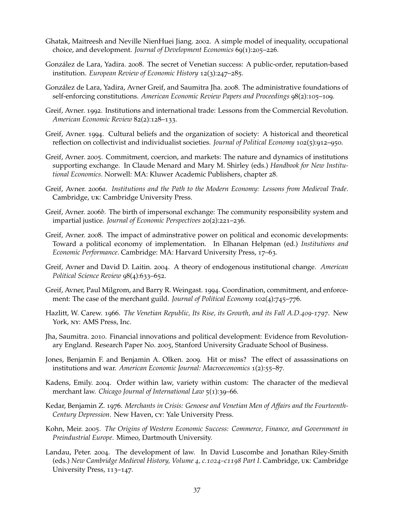- <span id="page-38-17"></span>Ghatak, Maitreesh and Neville NienHuei Jiang. 2002. A simple model of inequality, occupational choice, and development. *Journal of Development Economics* 69(1):205–226.
- <span id="page-38-5"></span>González de Lara, Yadira. 2008. The secret of Venetian success: A public-order, reputation-based institution. *European Review of Economic History* 12(3):247–285.
- <span id="page-38-9"></span>González de Lara, Yadira, Avner Greif, and Saumitra Jha. 2008. The administrative foundations of self-enforcing constitutions. *American Economic Review Papers and Proceedings* 98(2):105–109.
- <span id="page-38-1"></span>Greif, Avner. 1992. Institutions and international trade: Lessons from the Commercial Revolution. *American Economic Review* 82(2):128–133.
- <span id="page-38-2"></span>Greif, Avner. 1994. Cultural beliefs and the organization of society: A historical and theoretical reflection on collectivist and individualist societies. *Journal of Political Economy* 102(5):912–950.
- <span id="page-38-7"></span>Greif, Avner. 2005. Commitment, coercion, and markets: The nature and dynamics of institutions supporting exchange. In Claude Menard and Mary M. Shirley (eds.) *Handbook for New Institutional Economics*. Norwell: MA: Kluwer Academic Publishers, chapter 28.
- <span id="page-38-0"></span>Greif, Avner. 2006*a*. *Institutions and the Path to the Modern Economy: Lessons from Medieval Trade*. Cambridge, uk: Cambridge University Press.
- <span id="page-38-3"></span>Greif, Avner. 2006*b*. The birth of impersonal exchange: The community responsibility system and impartial justice. *Journal of Economic Perspectives* 20(2):221–236.
- <span id="page-38-8"></span>Greif, Avner. 2008. The impact of adminstrative power on political and economic developments: Toward a political economy of implementation. In Elhanan Helpman (ed.) *Institutions and Economic Performance*. Cambridge: MA: Harvard University Press, 17–63.
- <span id="page-38-10"></span>Greif, Avner and David D. Laitin. 2004. A theory of endogenous institutional change. *American Political Science Review* 98(4):633–652.
- <span id="page-38-4"></span>Greif, Avner, Paul Milgrom, and Barry R. Weingast. 1994. Coordination, commitment, and enforcement: The case of the merchant guild. *Journal of Political Economy* 102(4):745–776.
- <span id="page-38-13"></span>Hazlitt, W. Carew. 1966. *The Venetian Republic, Its Rise, its Growth, and its Fall A.D.409-1797*. New York, ny: AMS Press, Inc.
- <span id="page-38-6"></span>Jha, Saumitra. 2010. Financial innovations and political development: Evidence from Revolutionary England. Research Paper No. 2005, Stanford University Graduate School of Business.
- <span id="page-38-12"></span>Jones, Benjamin F. and Benjamin A. Olken. 2009. Hit or miss? The effect of assassinations on institutions and war. *American Economic Journal: Macroeconomics* 1(2):55–87.
- <span id="page-38-14"></span>Kadens, Emily. 2004. Order within law, variety within custom: The character of the medieval merchant law. *Chicago Journal of International Law* 5(1):39–66.
- <span id="page-38-11"></span>Kedar, Benjamin Z. 1976. *Merchants in Crisis: Genoese and Venetian Men of Affairs and the Fourteenth-Century Depression*. New Haven, cy: Yale University Press.
- <span id="page-38-16"></span>Kohn, Meir. 2005. *The Origins of Western Economic Success: Commerce, Finance, and Government in Preindustrial Europe*. Mimeo, Dartmouth University.
- <span id="page-38-15"></span>Landau, Peter. 2004. The development of law. In David Luscombe and Jonathan Riley-Smith (eds.) *New Cambridge Medieval History, Volume 4, c.1024–c1198 Part I*. Cambridge, uk: Cambridge University Press, 113–147.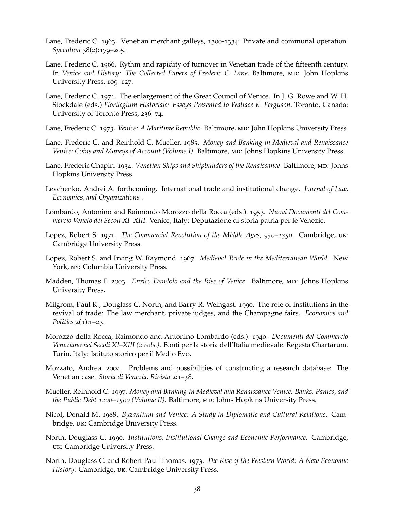- <span id="page-39-15"></span>Lane, Frederic C. 1963. Venetian merchant galleys, 1300-1334: Private and communal operation. *Speculum* 38(2):179–205.
- <span id="page-39-11"></span>Lane, Frederic C. 1966. Rythm and rapidity of turnover in Venetian trade of the fifteenth century. In *Venice and History: The Collected Papers of Frederic C. Lane.* Baltimore, MD: John Hopkins University Press, 109–127.
- <span id="page-39-5"></span>Lane, Frederic C. 1971. The enlargement of the Great Council of Venice. In J. G. Rowe and W. H. Stockdale (eds.) *Florilegium Historiale: Essays Presented to Wallace K. Ferguson*. Toronto, Canada: University of Toronto Press, 236–74.
- <span id="page-39-7"></span>Lane, Frederic C. 1973. *Venice: A Maritime Republic*. Baltimore, MD: John Hopkins University Press.
- <span id="page-39-17"></span>Lane, Frederic C. and Reinhold C. Mueller. 1985. *Money and Banking in Medieval and Renaissance Venice: Coins and Moneys of Account (Volume I)*. Baltimore, MD: Johns Hopkins University Press.
- <span id="page-39-16"></span>Lane, Frederic Chapin. 1934. *Venetian Ships and Shipbuilders of the Renaissance*. Baltimore, MD: Johns Hopkins University Press.
- <span id="page-39-4"></span>Levchenko, Andrei A. forthcoming. International trade and institutional change. *Journal of Law, Economics, and Organizations* .
- <span id="page-39-14"></span>Lombardo, Antonino and Raimondo Morozzo della Rocca (eds.). 1953. *Nuovi Documenti del Commercio Veneto dei Secoli XI–XIII*. Venice, Italy: Deputazione di storia patria per le Venezie.
- <span id="page-39-0"></span>Lopez, Robert S. 1971. *The Commercial Revolution of the Middle Ages, 950–1350*. Cambridge, uk: Cambridge University Press.
- <span id="page-39-9"></span>Lopez, Robert S. and Irving W. Raymond. 1967. *Medieval Trade in the Mediterranean World*. New York, ny: Columbia University Press.
- <span id="page-39-8"></span>Madden, Thomas F. 2003. *Enrico Dandolo and the Rise of Venice*. Baltimore, md: Johns Hopkins University Press.
- <span id="page-39-2"></span>Milgrom, Paul R., Douglass C. North, and Barry R. Weingast. 1990. The role of institutions in the revival of trade: The law merchant, private judges, and the Champagne fairs. *Economics and Politics* 2(1):1–23.
- <span id="page-39-12"></span>Morozzo della Rocca, Raimondo and Antonino Lombardo (eds.). 1940. *Documenti del Commercio Veneziano nei Secoli XI–XIII (2 vols.)*. Fonti per la storia dell'Italia medievale. Regesta Chartarum. Turin, Italy: Istituto storico per il Medio Evo.
- <span id="page-39-13"></span>Mozzato, Andrea. 2004. Problems and possibilities of constructing a research database: The Venetian case. *Storia di Venezia, Rivista* 2:1–38.
- <span id="page-39-10"></span>Mueller, Reinhold C. 1997. *Money and Banking in Medieval and Renaissance Venice: Banks, Panics, and the Public Debt 1200–1500 (Volume II)*. Baltimore, MD: Johns Hopkins University Press.
- <span id="page-39-6"></span>Nicol, Donald M. 1988. *Byzantium and Venice: A Study in Diplomatic and Cultural Relations*. Cambridge, uk: Cambridge University Press.
- <span id="page-39-3"></span>North, Douglass C. 1990. *Institutions, Institutional Change and Economic Performance*. Cambridge, uk: Cambridge University Press.
- <span id="page-39-1"></span>North, Douglass C. and Robert Paul Thomas. 1973. *The Rise of the Western World: A New Economic History*. Cambridge, uk: Cambridge University Press.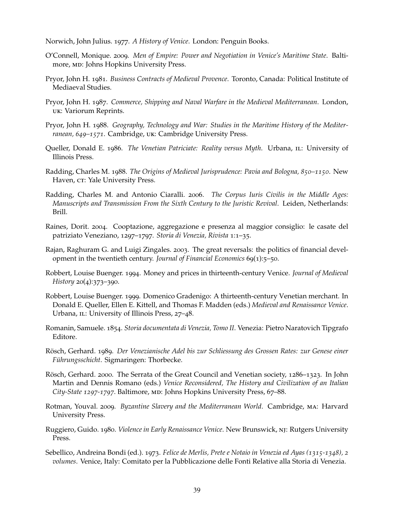<span id="page-40-1"></span>Norwich, John Julius. 1977. *A History of Venice*. London: Penguin Books.

- <span id="page-40-6"></span>O'Connell, Monique. 2009. *Men of Empire: Power and Negotiation in Venice's Maritime State*. Baltimore, MD: Johns Hopkins University Press.
- <span id="page-40-8"></span>Pryor, John H. 1981. *Business Contracts of Medieval Provence*. Toronto, Canada: Political Institute of Mediaeval Studies.
- <span id="page-40-11"></span>Pryor, John H. 1987. *Commerce, Shipping and Naval Warfare in the Medieval Mediterranean*. London, uk: Variorum Reprints.
- <span id="page-40-3"></span>Pryor, John H. 1988. *Geography, Technology and War: Studies in the Maritime History of the Mediterranean, 649–1571*. Cambridge, uk: Cambridge University Press.
- <span id="page-40-7"></span>Queller, Donald E. 1986. *The Venetian Patriciate: Reality versus Myth*. Urbana, IL: University of Illinois Press.
- <span id="page-40-10"></span>Radding, Charles M. 1988. *The Origins of Medieval Jurisprudence: Pavia and Bologna, 850–1150*. New Haven, CT: Yale University Press.
- <span id="page-40-9"></span>Radding, Charles M. and Antonio Ciaralli. 2006. *The Corpus Iuris Civilis in the Middle Ages: Manuscripts and Transmission From the Sixth Century to the Juristic Revival*. Leiden, Netherlands: Brill.
- <span id="page-40-14"></span>Raines, Dorit. 2004. Cooptazione, aggregazione e presenza al maggior consiglio: le casate del patriziato Veneziano, 1297–1797. *Storia di Venezia, Rivista* 1:1–35.
- <span id="page-40-0"></span>Rajan, Raghuram G. and Luigi Zingales. 2003. The great reversals: the politics of financial development in the twentieth century. *Journal of Financial Economics* 69(1):5–50.
- <span id="page-40-4"></span>Robbert, Louise Buenger. 1994. Money and prices in thirteenth-century Venice. *Journal of Medieval History* 20(4):373–390.
- <span id="page-40-13"></span>Robbert, Louise Buenger. 1999. Domenico Gradenigo: A thirteenth-century Venetian merchant. In Donald E. Queller, Ellen E. Kittell, and Thomas F. Madden (eds.) *Medieval and Renaissance Venice*. Urbana, IL: University of Illinois Press, 27-48.
- <span id="page-40-16"></span>Romanin, Samuele. 1854. *Storia documentata di Venezia, Tomo II*. Venezia: Pietro Naratovich Tipgrafo Editore.
- <span id="page-40-5"></span>Rösch, Gerhard. 1989. *Der Venezianische Adel bis zur Schliessung des Grossen Rates: zur Genese einer Führungsschicht*. Sigmaringen: Thorbecke.
- <span id="page-40-15"></span>Rösch, Gerhard. 2000. The Serrata of the Great Council and Venetian society, 1286–1323. In John Martin and Dennis Romano (eds.) *Venice Reconsidered, The History and Civilization of an Italian City-State 1297-1797*. Baltimore, md: Johns Hopkins University Press, 67–88.
- <span id="page-40-2"></span>Rotman, Youval. 2009. *Byzantine Slavery and the Mediterranean World*. Cambridge, ma: Harvard University Press.
- <span id="page-40-12"></span>Ruggiero, Guido. 1980. *Violence in Early Renaissance Venice*. New Brunswick, nj: Rutgers University Press.
- <span id="page-40-17"></span>Sebellico, Andreina Bondi (ed.). 1973. *Felice de Merlis, Prete e Notaio in Venezia ed Ayas (1315-1348), 2 volumes*. Venice, Italy: Comitato per la Pubblicazione delle Fonti Relative alla Storia di Venezia.